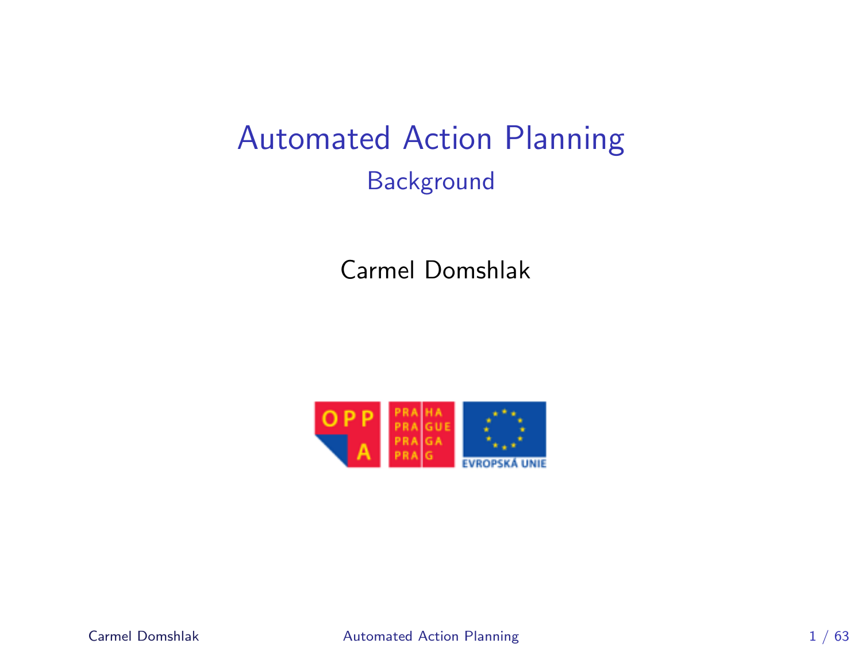# Automated Action Planning **Background**

Carmel Domshlak

<span id="page-0-0"></span>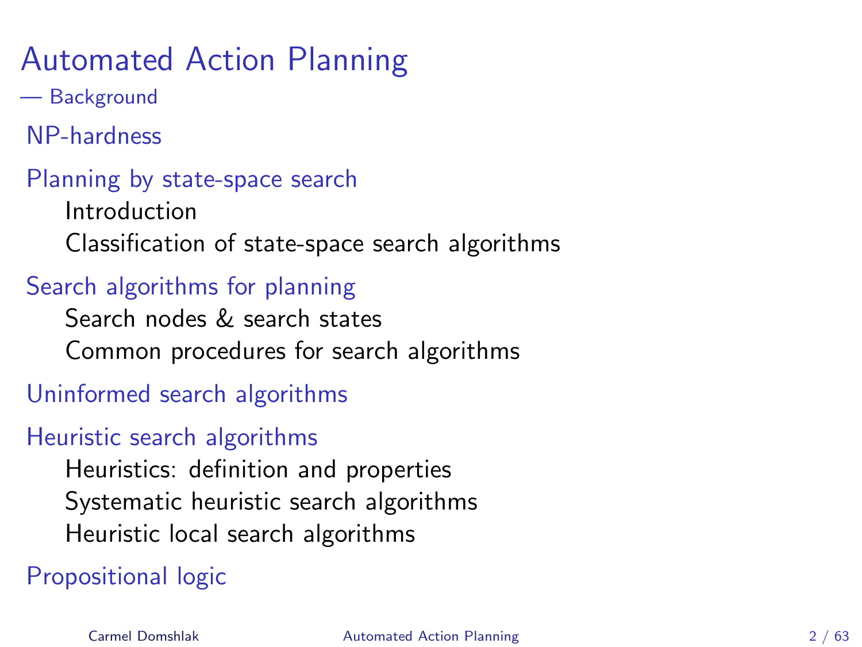# Automated Action Planning

— Background

[NP-hardness](#page-3-0)

### [Planning by state-space search](#page-13-0)

[Introduction](#page-13-0) [Classification of state-space search algorithms](#page-15-0)

### [Search algorithms for planning](#page-19-0)

[Search nodes & search states](#page-19-0) [Common procedures for search algorithms](#page-25-0)

### [Uninformed search algorithms](#page-29-0)

### [Heuristic search algorithms](#page-34-0)

[Heuristics: definition and properties](#page-34-0) [Systematic heuristic search algorithms](#page-42-0) [Heuristic local search algorithms](#page-54-0)

### [Propositional logic](#page-57-0)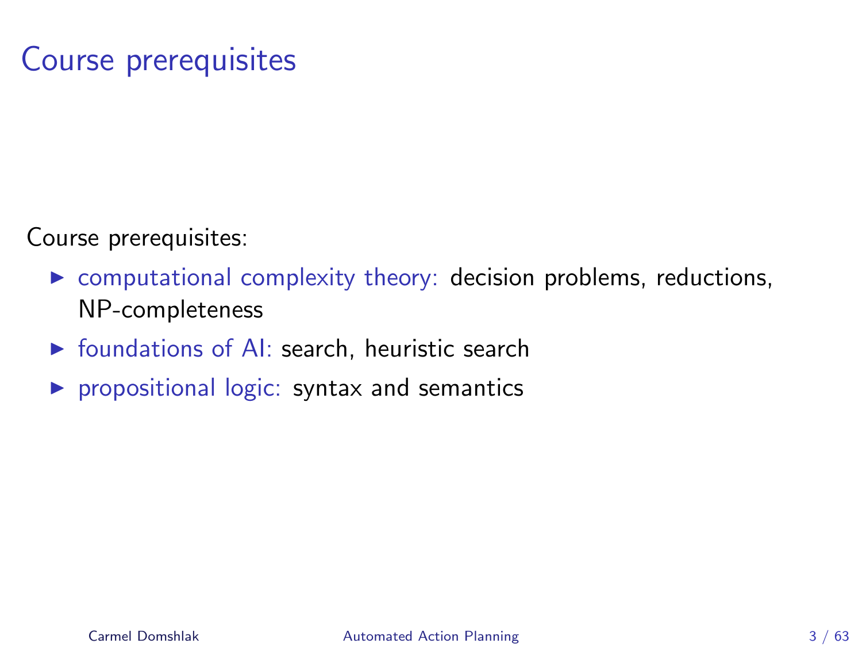# Course prerequisites

Course prerequisites:

- $\triangleright$  computational complexity theory: decision problems, reductions, NP-completeness
- $\triangleright$  foundations of AI: search, heuristic search
- $\triangleright$  propositional logic: syntax and semantics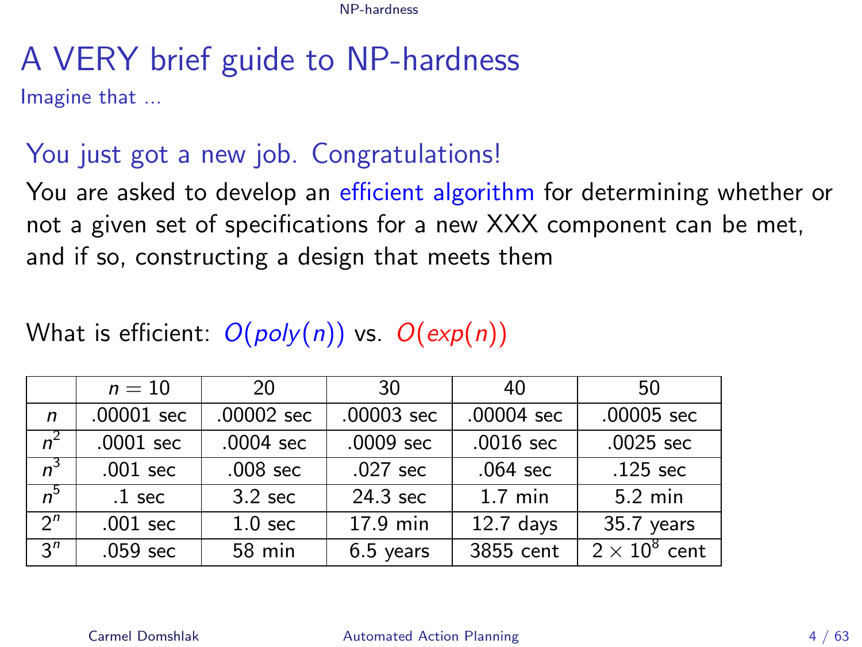# A VERY brief guide to NP-hardness

Imagine that ...

### You just got a new job. Congratulations!

You are asked to develop an efficient algorithm for determining whether or not a given set of specifications for a new XXX component can be met, and if so, constructing a design that meets them

### What is efficient:  $O(poly(n))$  vs.  $O(exp(n))$

<span id="page-3-0"></span>

|                | $n=10$              | 20                  | 30                 | 40                | 50                   |
|----------------|---------------------|---------------------|--------------------|-------------------|----------------------|
| $\mathsf{n}$   | $.00001$ sec        | .00002 sec          | .00003 sec         | $.00004$ sec      | .00005 sec           |
| $n^2$          | $.0001$ sec         | $.0004$ sec         | $.0009$ sec        | $.0016$ sec       | $.0025$ sec          |
| $n^3$          | $.001 \text{ sec}$  | .008 <sub>sec</sub> | $.027 \text{ sec}$ | $.064$ sec        | $.125$ sec           |
| $n^5$          | $.1$ sec            | $3.2$ sec           | 24.3 sec           | $1.7 \text{ min}$ | $5.2 \text{ min}$    |
| $2^n$          | $.001$ sec          | 1.0 <sub>sec</sub>  | 17.9 min           | $12.7$ days       | 35.7 years           |
| 3 <sup>n</sup> | .059 <sub>sec</sub> | 58 min              | $6.5$ years        | 3855 cent         | $2 \times 10^8$ cent |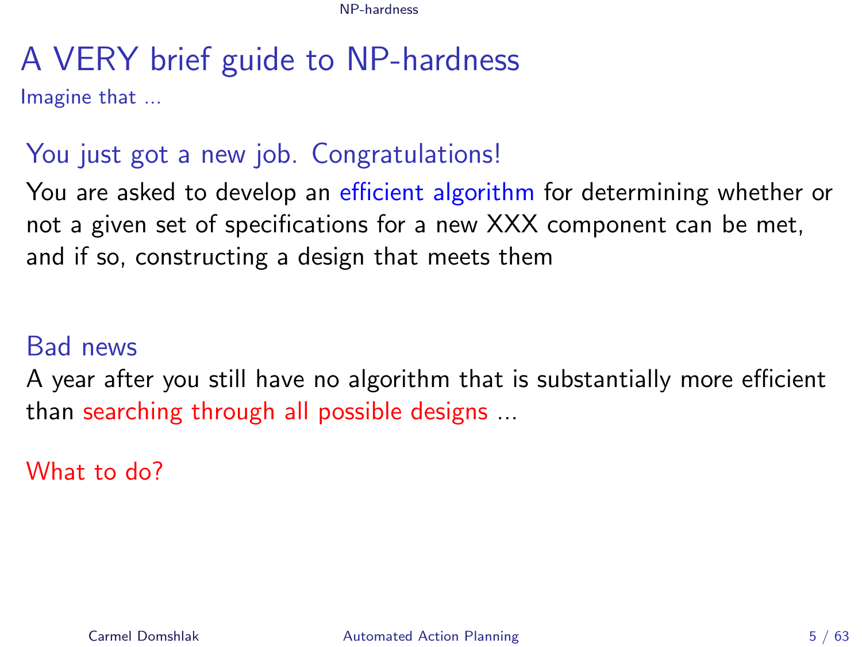# A VERY brief guide to NP-hardness

Imagine that ...

### You just got a new job. Congratulations!

You are asked to develop an efficient algorithm for determining whether or not a given set of specifications for a new XXX component can be met, and if so, constructing a design that meets them

### Bad news

A year after you still have no algorithm that is substantially more efficient than searching through all possible designs ...

What to do?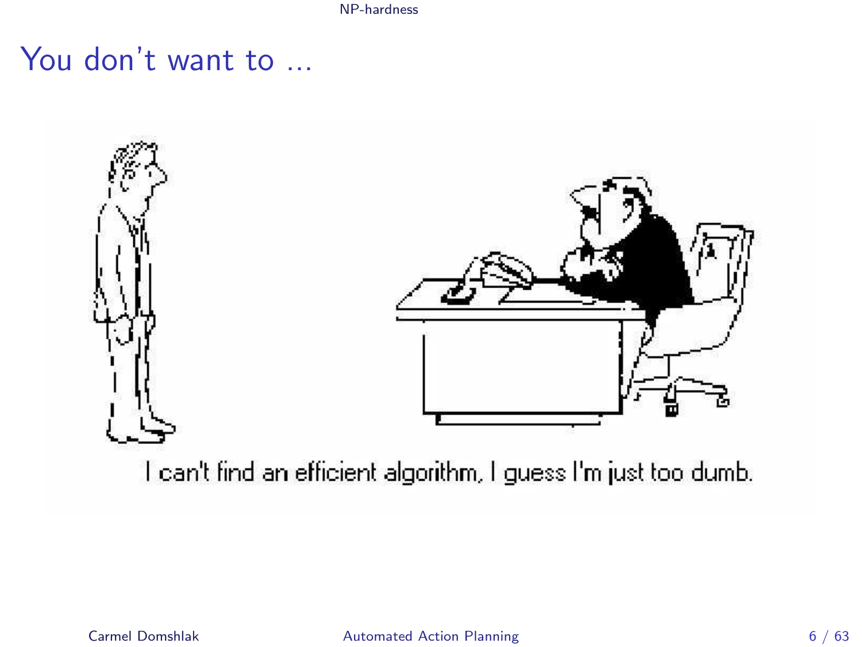# You don't want to ...



I can't find an efficient algorithm, I guess I'm just too dumb.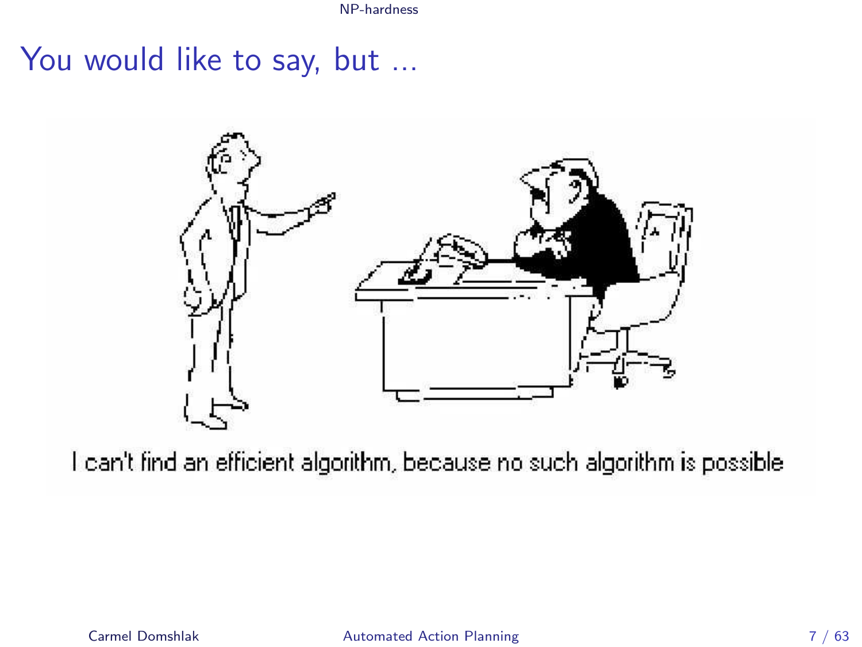You would like to say, but ...



I can't find an efficient algorithm, because no such algorithm is possible.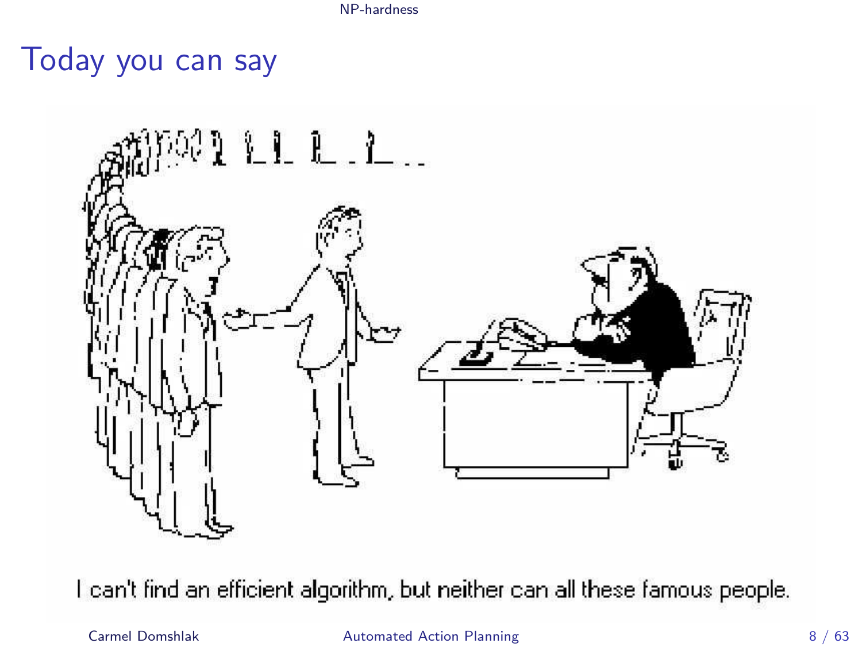Today you can say



I can't find an efficient algorithm, but neither can all these famous people.

### Carmel Domshlak **[Automated Action Planning](#page-0-0)** 8 / 63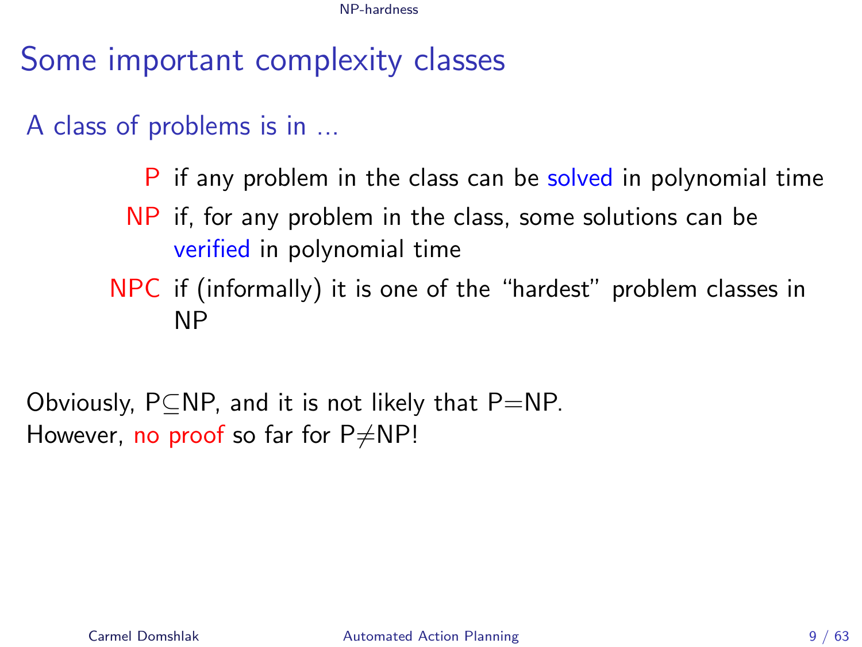Some important complexity classes

A class of problems is in ...

P if any problem in the class can be solved in polynomial time

- NP if, for any problem in the class, some solutions can be verified in polynomial time
- NPC if (informally) it is one of the "hardest" problem classes in NP

Obviously,  $P\subseteq NP$ , and it is not likely that  $P=NP$ . However, no proof so far for  $P\neq NP!$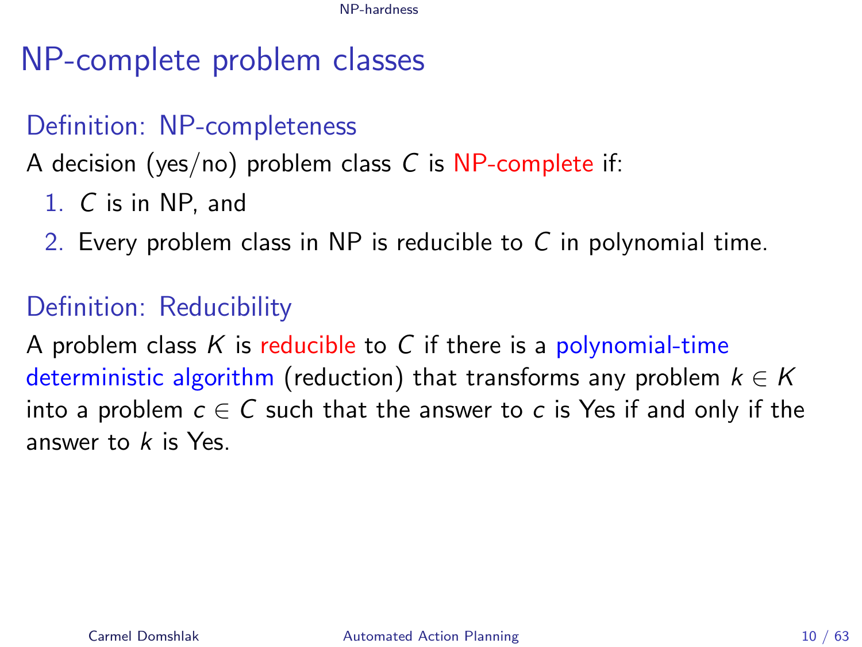# NP-complete problem classes

### Definition: NP-completeness

A decision (yes/no) problem class  $C$  is NP-complete if:

- 1. C is in NP, and
- 2. Every problem class in NP is reducible to C in polynomial time.

### Definition: Reducibility

A problem class K is reducible to C if there is a polynomial-time deterministic algorithm (reduction) that transforms any problem  $k \in K$ into a problem  $c \in C$  such that the answer to c is Yes if and only if the answer to  $k$  is Yes.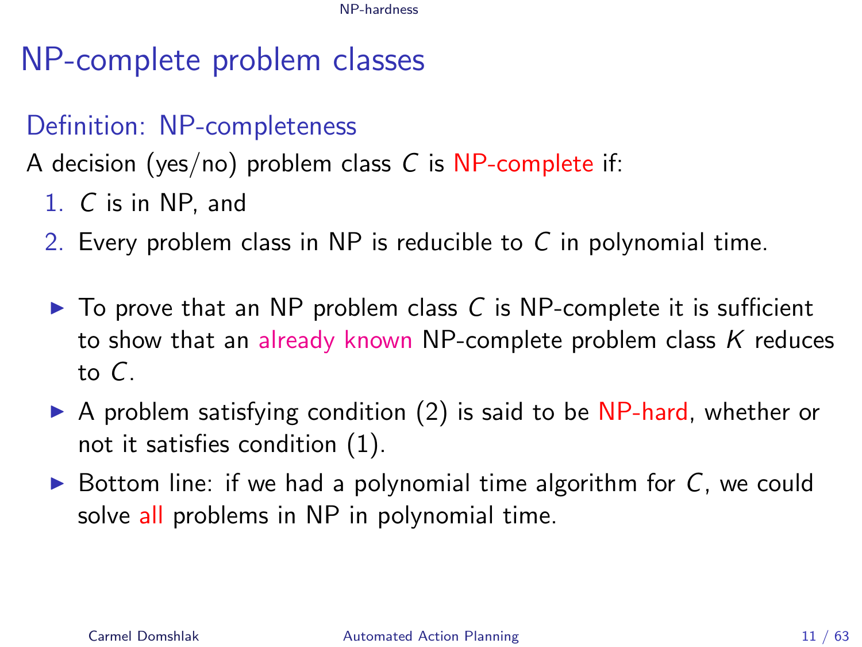# NP-complete problem classes

### Definition: NP-completeness

A decision (yes/no) problem class C is NP-complete if:

- 1. C is in NP, and
- 2. Every problem class in NP is reducible to C in polynomial time.
- $\triangleright$  To prove that an NP problem class C is NP-complete it is sufficient to show that an already known NP-complete problem class  $K$  reduces to C.
- $\triangleright$  A problem satisfying condition (2) is said to be NP-hard, whether or not it satisfies condition (1).
- $\triangleright$  Bottom line: if we had a polynomial time algorithm for C, we could solve all problems in NP in polynomial time.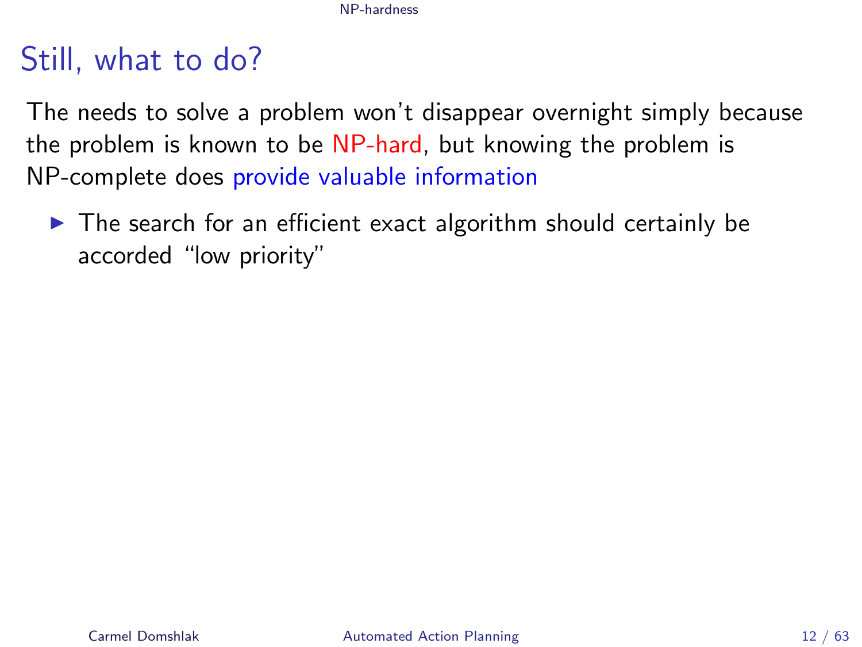# Still, what to do?

The needs to solve a problem won't disappear overnight simply because the problem is known to be NP-hard, but knowing the problem is NP-complete does provide valuable information

 $\triangleright$  The search for an efficient exact algorithm should certainly be accorded "low priority"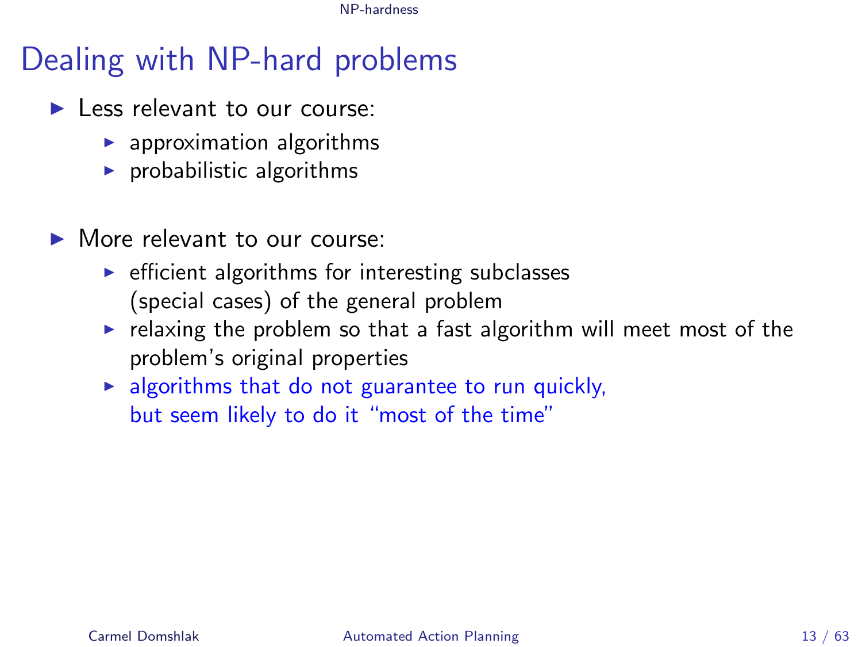# Dealing with NP-hard problems

- I ess relevant to our course:
	- $\blacktriangleright$  approximation algorithms
	- $\blacktriangleright$  probabilistic algorithms
- $\blacktriangleright$  More relevant to our course:
	- $\triangleright$  efficient algorithms for interesting subclasses (special cases) of the general problem
	- $\triangleright$  relaxing the problem so that a fast algorithm will meet most of the problem's original properties
	- $\blacktriangleright$  algorithms that do not guarantee to run quickly, but seem likely to do it "most of the time"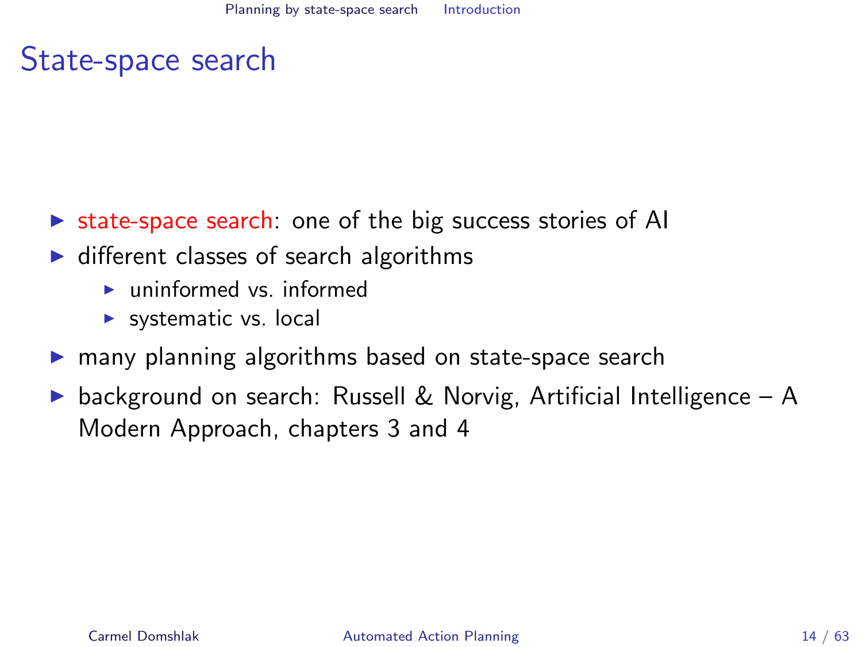# State-space search

- $\triangleright$  state-space search: one of the big success stories of AI
- $\blacktriangleright$  different classes of search algorithms
	- $\blacktriangleright$  uninformed vs. informed
	- $\blacktriangleright$  systematic vs. local
- $\triangleright$  many planning algorithms based on state-space search
- <span id="page-13-0"></span> $\triangleright$  background on search: Russell & Norvig, Artificial Intelligence – A Modern Approach, chapters 3 and 4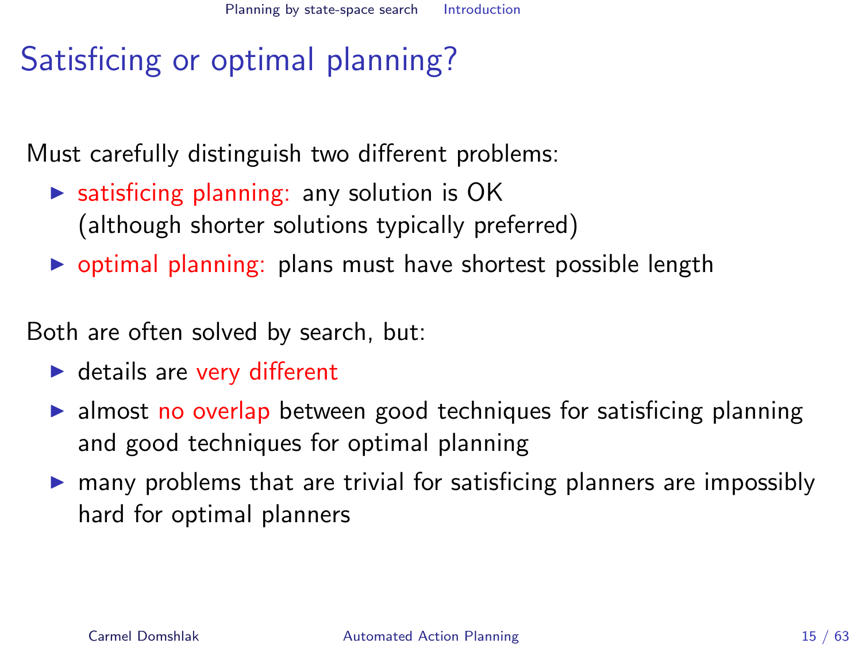# Satisficing or optimal planning?

Must carefully distinguish two different problems:

- $\triangleright$  satisficing planning: any solution is OK (although shorter solutions typically preferred)
- $\triangleright$  optimal planning: plans must have shortest possible length

Both are often solved by search, but:

- $\blacktriangleright$  details are very different
- $\triangleright$  almost no overlap between good techniques for satisficing planning and good techniques for optimal planning
- $\triangleright$  many problems that are trivial for satisficing planners are impossibly hard for optimal planners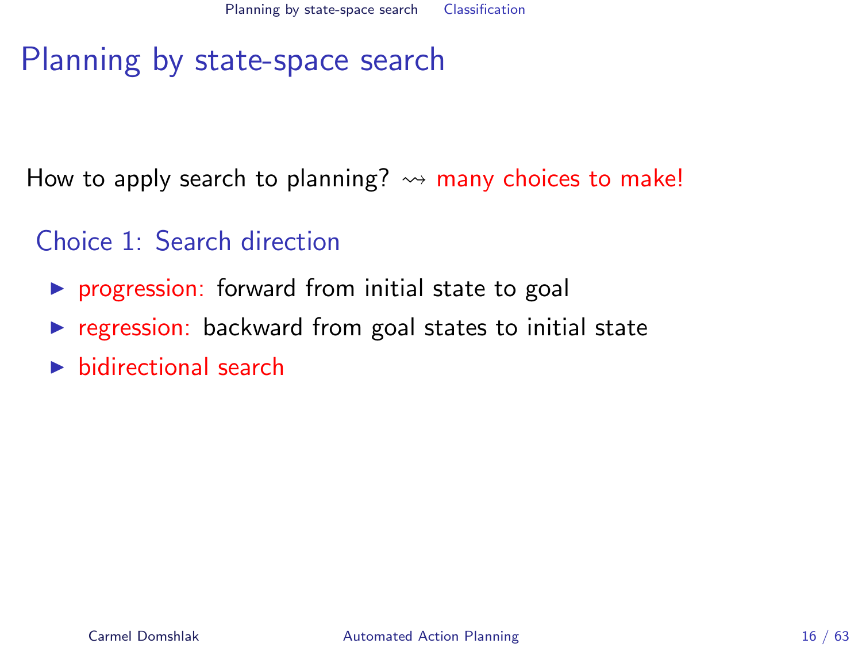How to apply search to planning?  $\rightsquigarrow$  many choices to make!

- <span id="page-15-0"></span>Choice 1: Search direction
	- $\triangleright$  progression: forward from initial state to goal
	- $\triangleright$  regression: backward from goal states to initial state
	- $\blacktriangleright$  bidirectional search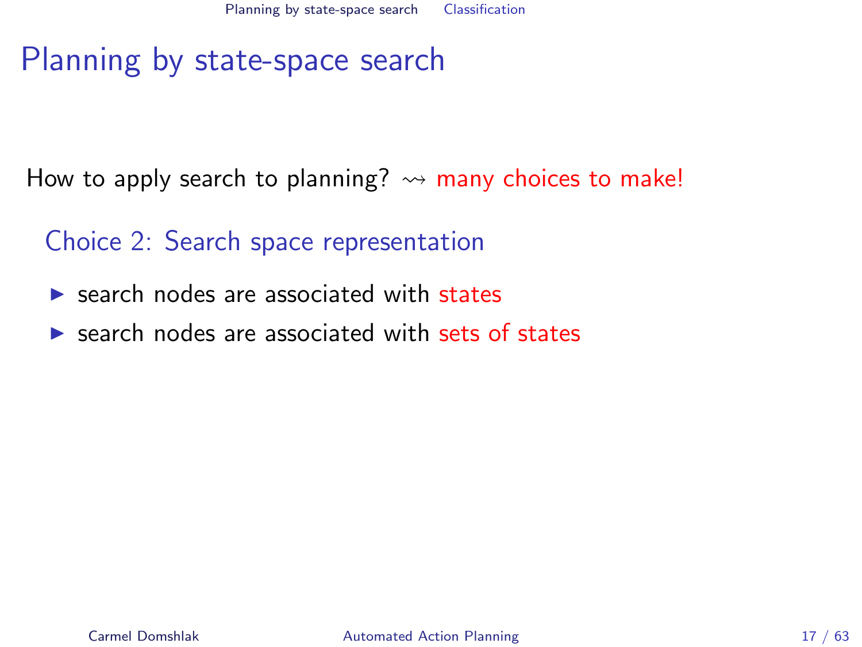How to apply search to planning?  $\rightsquigarrow$  many choices to make!

Choice 2: Search space representation

- $\triangleright$  search nodes are associated with states
- $\triangleright$  search nodes are associated with sets of states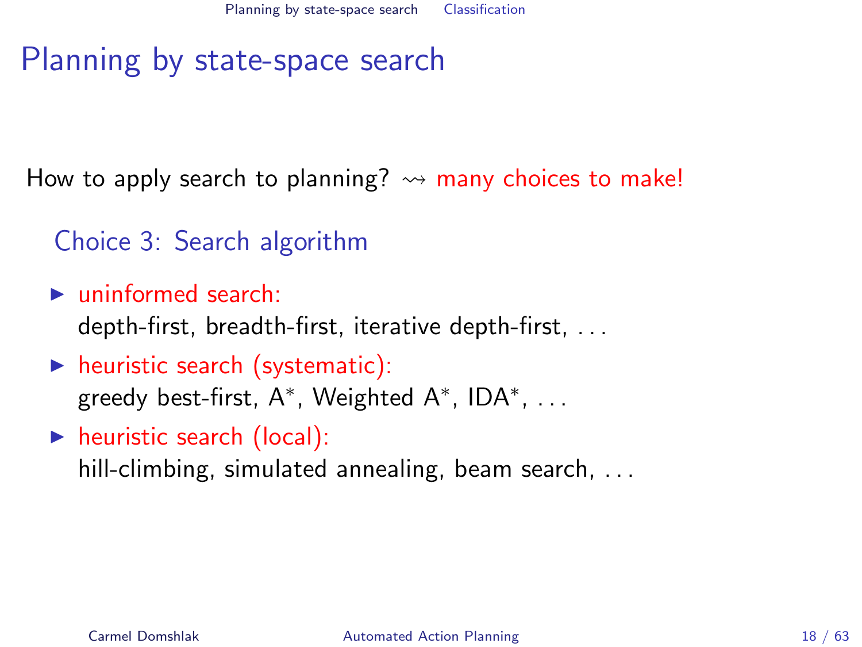How to apply search to planning?  $\rightsquigarrow$  many choices to make!

Choice 3: Search algorithm

 $\blacktriangleright$  uninformed search: depth-first, breadth-first, iterative depth-first, . . .

- $\blacktriangleright$  heuristic search (systematic): greedy best-first,  $A^*$ , Weighted  $A^*$ , ID $A^*$ ,  $\dots$
- $\blacktriangleright$  heuristic search (local):

hill-climbing, simulated annealing, beam search, ...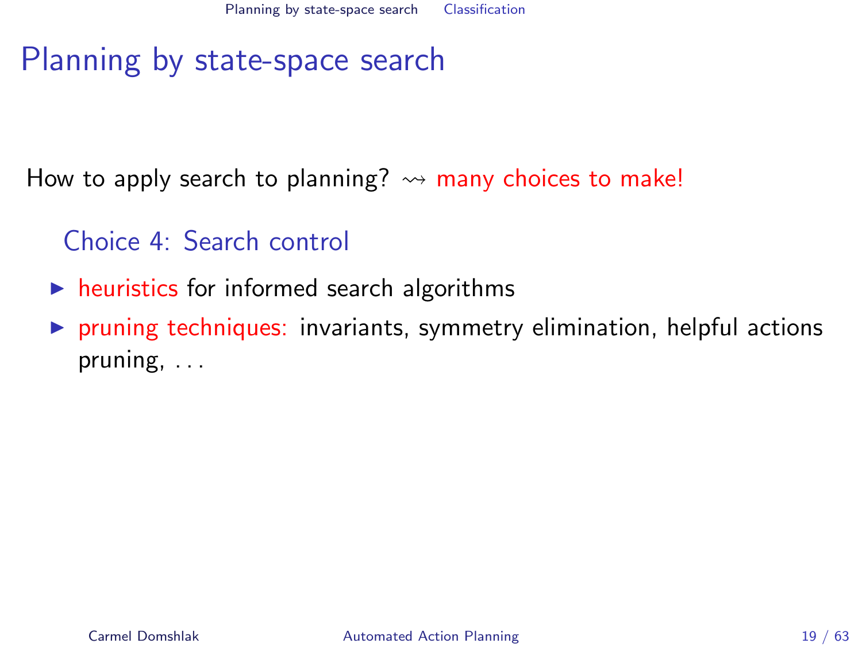How to apply search to planning?  $\rightsquigarrow$  many choices to make!

Choice 4: Search control

- $\blacktriangleright$  heuristics for informed search algorithms
- $\triangleright$  pruning techniques: invariants, symmetry elimination, helpful actions pruning, . . .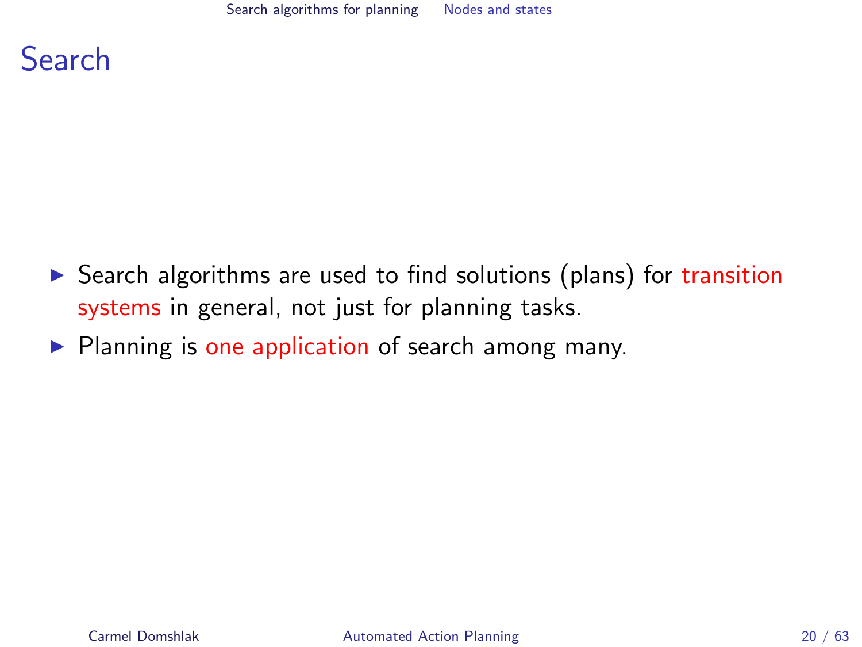

- $\triangleright$  Search algorithms are used to find solutions (plans) for transition systems in general, not just for planning tasks.
- <span id="page-19-0"></span> $\triangleright$  Planning is one application of search among many.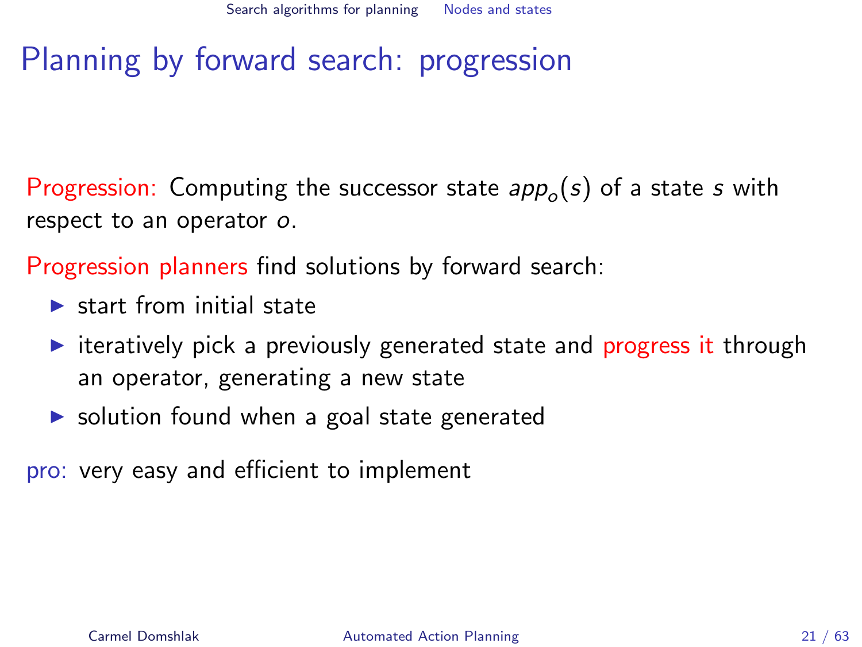# Planning by forward search: progression

Progression: Computing the successor state  $\mathit{app}_o(s)$  of a state  $s$  with respect to an operator o.

Progression planners find solutions by forward search:

- $\blacktriangleright$  start from initial state
- $\triangleright$  iteratively pick a previously generated state and progress it through an operator, generating a new state
- $\triangleright$  solution found when a goal state generated

pro: very easy and efficient to implement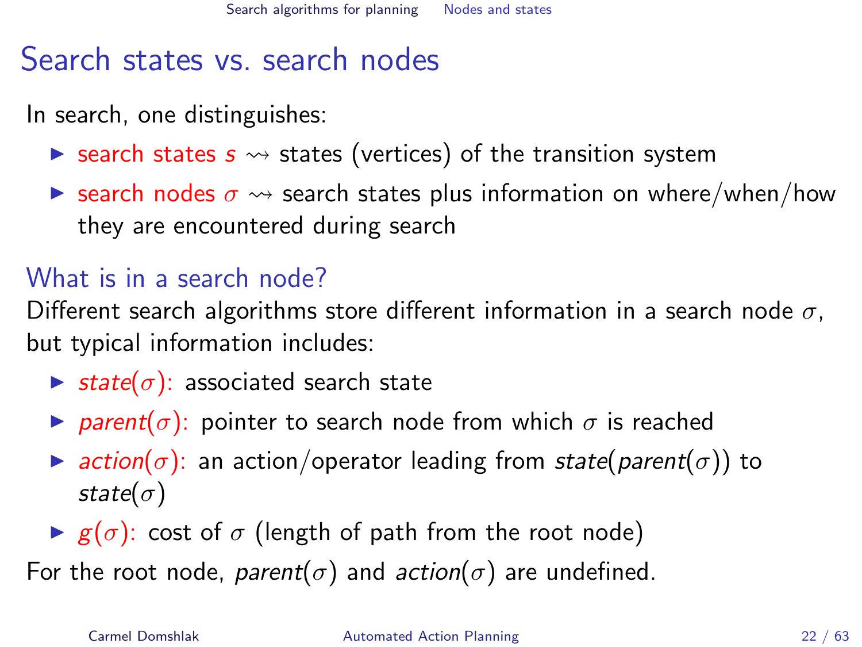# Search states vs. search nodes

In search, one distinguishes:

- **Exemple states s**  $\rightsquigarrow$  states (vertices) of the transition system
- **E** search nodes  $\sigma \rightarrow$  search states plus information on where/when/how they are encountered during search

### What is in a search node?

Different search algorithms store different information in a search node  $\sigma$ , but typical information includes:

- $\triangleright$  state( $\sigma$ ): associated search state
- **P** parent( $\sigma$ ): pointer to search node from which  $\sigma$  is reached
- $\triangleright$  action( $\sigma$ ): an action/operator leading from state(parent( $\sigma$ )) to state $(\sigma)$
- $\blacktriangleright$  g( $\sigma$ ): cost of  $\sigma$  (length of path from the root node)

For the root node, parent( $\sigma$ ) and action( $\sigma$ ) are undefined.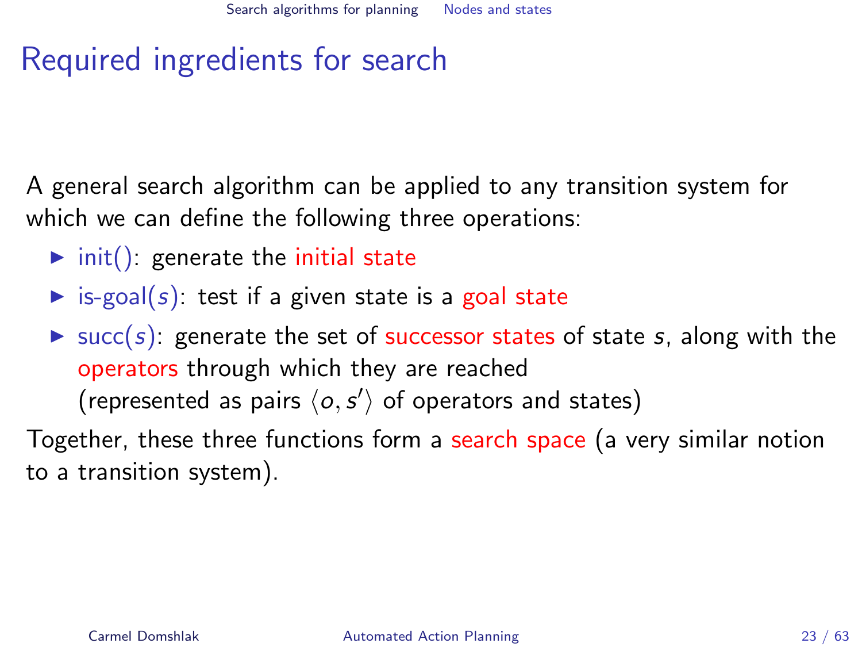# Required ingredients for search

A general search algorithm can be applied to any transition system for which we can define the following three operations:

- $\triangleright$  init(): generate the initial state
- $\triangleright$  is-goal(s): test if a given state is a goal state

 $\triangleright$  succ(s): generate the set of successor states of state s, along with the operators through which they are reached (represented as pairs  $\langle o, s' \rangle$  of operators and states)

Together, these three functions form a search space (a very similar notion to a transition system).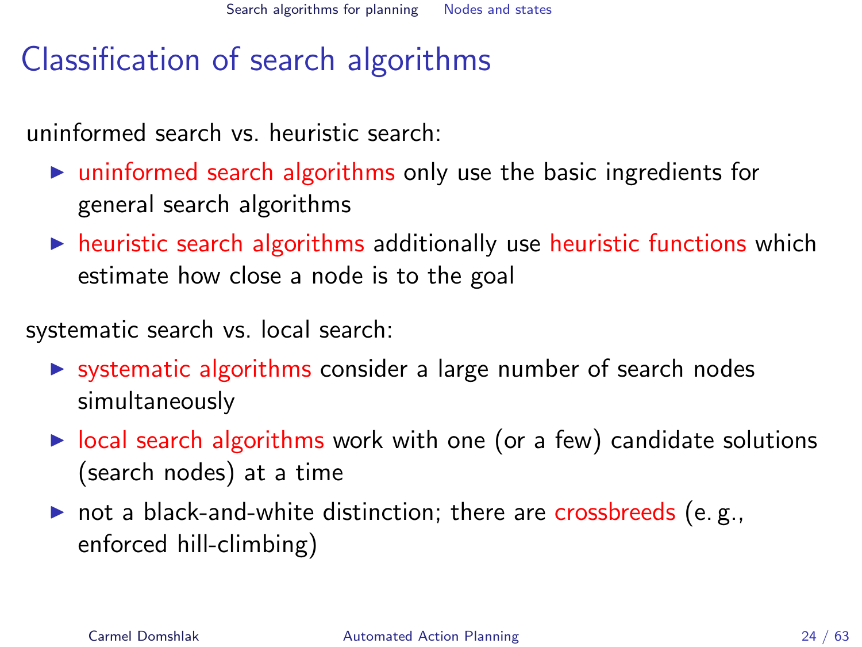# Classification of search algorithms

uninformed search vs. heuristic search:

- $\triangleright$  uninformed search algorithms only use the basic ingredients for general search algorithms
- $\triangleright$  heuristic search algorithms additionally use heuristic functions which estimate how close a node is to the goal

systematic search vs. local search:

- $\triangleright$  systematic algorithms consider a large number of search nodes simultaneously
- $\triangleright$  local search algorithms work with one (or a few) candidate solutions (search nodes) at a time
- $\triangleright$  not a black-and-white distinction; there are crossbreeds (e.g., enforced hill-climbing)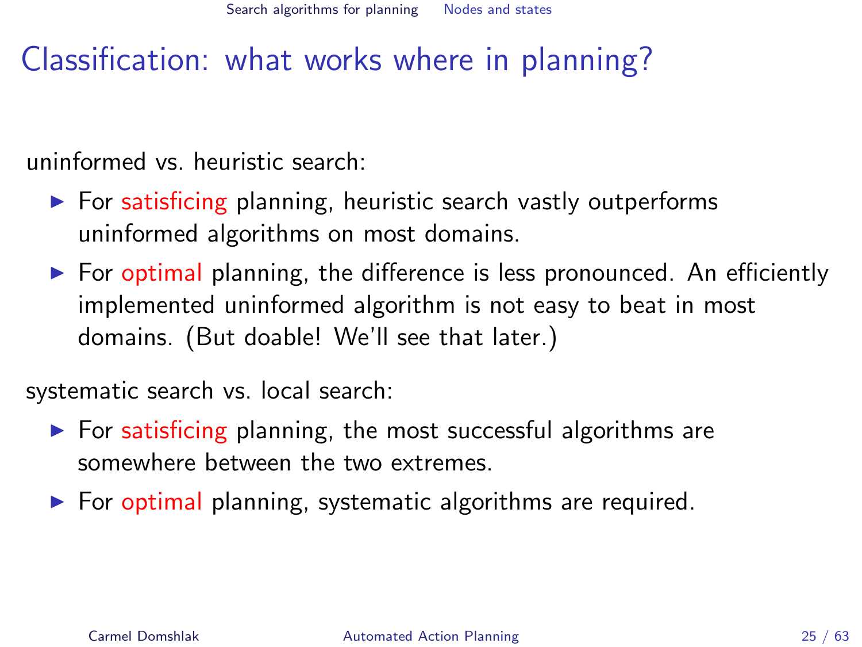# Classification: what works where in planning?

uninformed vs. heuristic search:

- $\triangleright$  For satisficing planning, heuristic search vastly outperforms uninformed algorithms on most domains.
- $\triangleright$  For optimal planning, the difference is less pronounced. An efficiently implemented uninformed algorithm is not easy to beat in most domains. (But doable! We'll see that later.)

systematic search vs. local search:

- $\triangleright$  For satisficing planning, the most successful algorithms are somewhere between the two extremes.
- $\triangleright$  For optimal planning, systematic algorithms are required.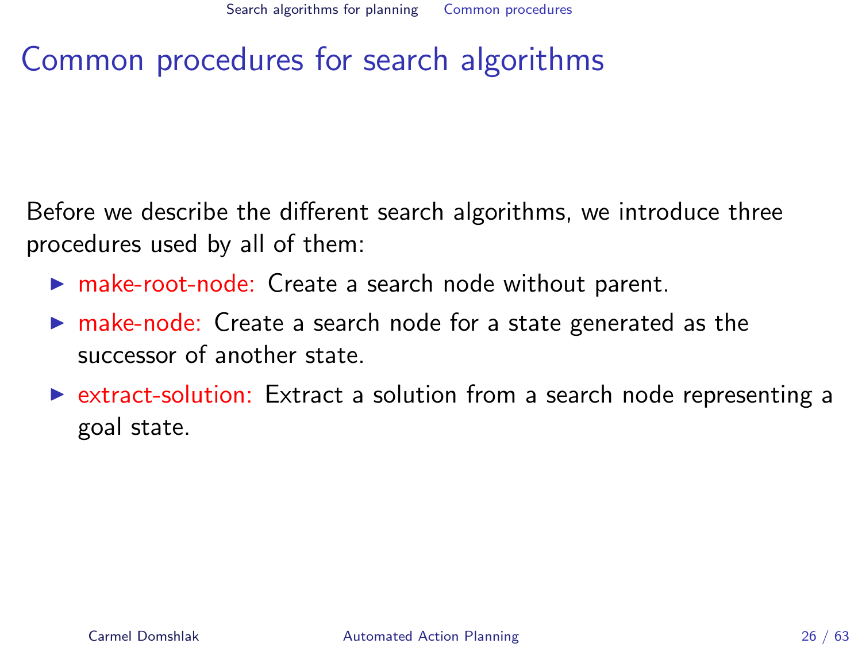# Common procedures for search algorithms

Before we describe the different search algorithms, we introduce three procedures used by all of them:

- $\triangleright$  make-root-node: Create a search node without parent.
- $\triangleright$  make-node: Create a search node for a state generated as the successor of another state.
- <span id="page-25-0"></span> $\triangleright$  extract-solution: Extract a solution from a search node representing a goal state.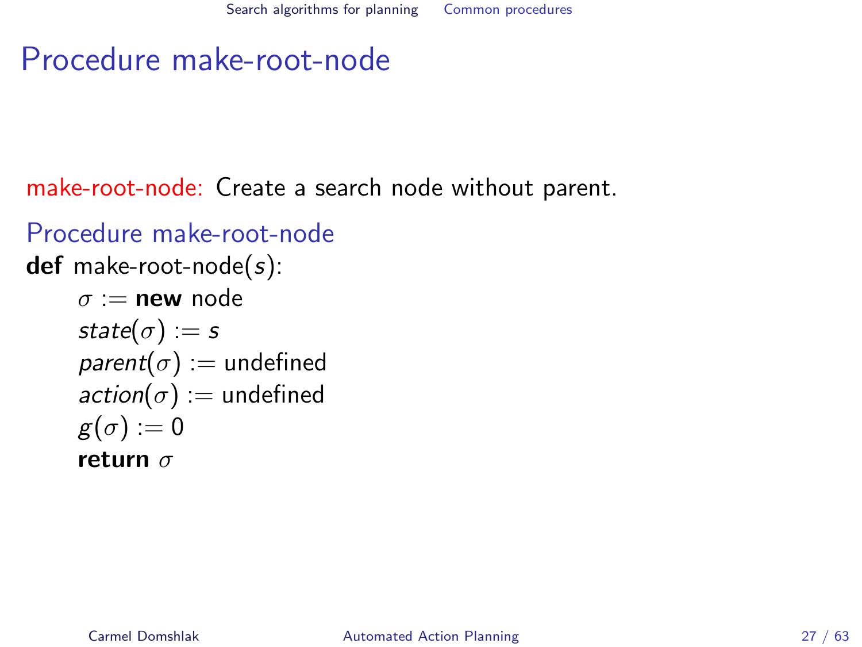# Procedure make-root-node

make-root-node: Create a search node without parent.

```
Procedure make-root-node
def make-root-node(s):
     \sigma := \textbf{new} node
     state(\sigma) := sparent(\sigma) := undefined
     action(\sigma) := undefined
     g(\sigma) := 0return \sigma
```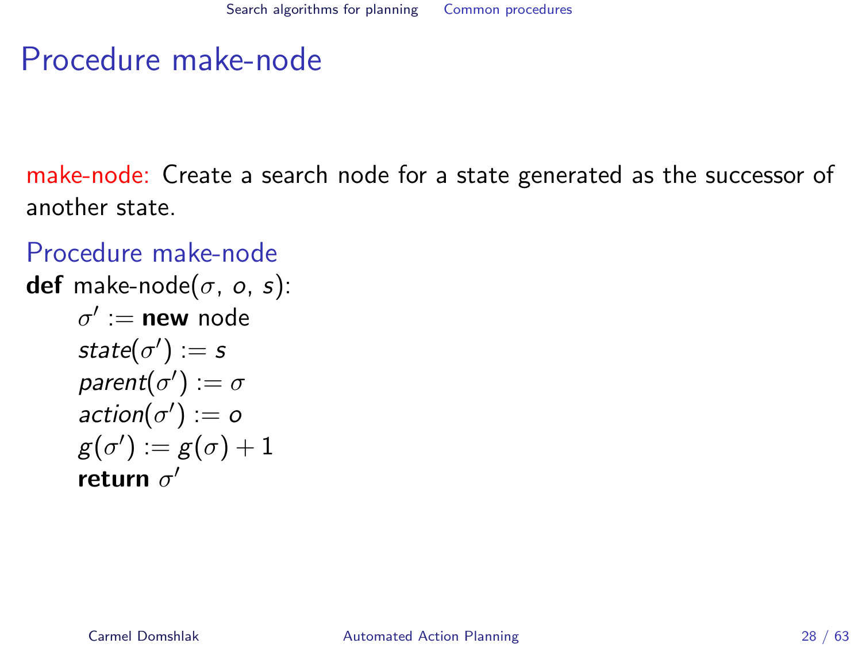# Procedure make-node

make-node: Create a search node for a state generated as the successor of another state.

```
Procedure make-node
def make-node(\sigma, \sigma, s):
       \sigma':= new node
       state(\sigma'):=sparent(\sigma'):=\sigma\mathsf{action}(\sigma') := \sigmag(\sigma') \mathrel{\mathop:}= g(\sigma) + 1return \sigma'
```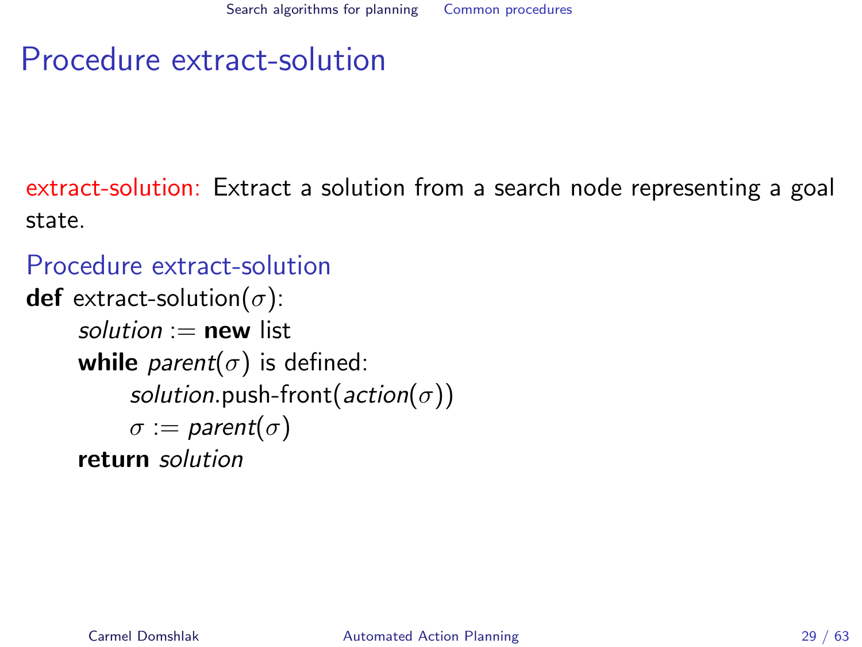# Procedure extract-solution

extract-solution: Extract a solution from a search node representing a goal state.

### Procedure extract-solution

```
def extract-solution(\sigma):
     solution := new list
     while parent(\sigma) is defined:
           solution.push-front(action(\sigma))
           \sigma := parent(\sigma)
     return solution
```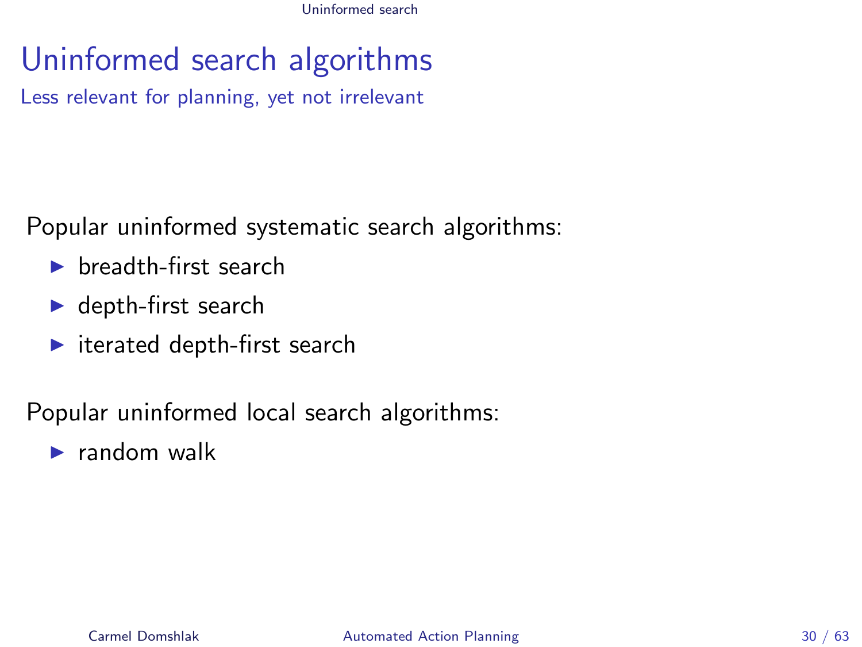# Uninformed search algorithms

Less relevant for planning, yet not irrelevant

Popular uninformed systematic search algorithms:

- $\blacktriangleright$  breadth-first search
- $\blacktriangleright$  depth-first search
- $\blacktriangleright$  iterated depth-first search

Popular uninformed local search algorithms:

<span id="page-29-0"></span> $\blacktriangleright$  random walk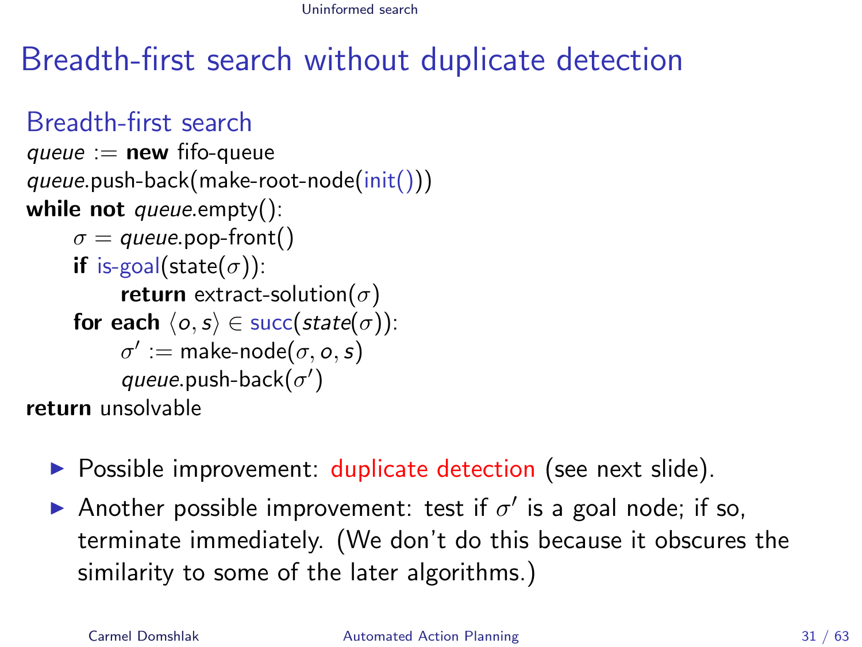# Breadth-first search without duplicate detection

```
Breadth-first search
queue := new fifo-queue
queue.push-back(make-root-node(init()))
while not queue.empty():
     \sigma = queue.pop-front()
     if is-goal(state(\sigma)):
           return extract-solution(\sigma)
     for each \langle o, s \rangle \in succ(state(\sigma)):
           \sigma' := \text{make-node}(\sigma, o, s)queue.push-back(\sigma')return unsolvable
```
- $\triangleright$  Possible improvement: duplicate detection (see next slide).
- Another possible improvement: test if  $\sigma'$  is a goal node; if so, terminate immediately. (We don't do this because it obscures the similarity to some of the later algorithms.)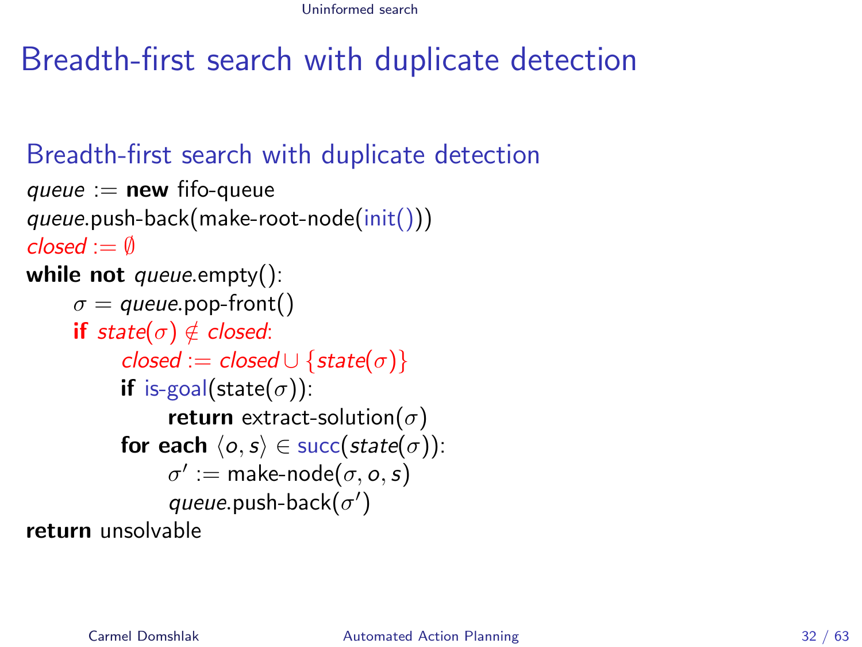# Breadth-first search with duplicate detection

### Breadth-first search with duplicate detection

```
queue := new fifo-queue
queue.push-back(make-root-node(init()))
close - \emptysetwhile not queue.empty():
     \sigma = queue.pop-front()
     if state(\sigma) \notin closed:
           closed := closed \cup \{state(\sigma)\}\if is-goal(state(\sigma)):
                 return extract-solution(\sigma)
           for each \langle o, s \rangle \in succ(state(\sigma)):
                 \sigma':= make-node(\sigma, o, s)queue.push-back(\sigma')return unsolvable
```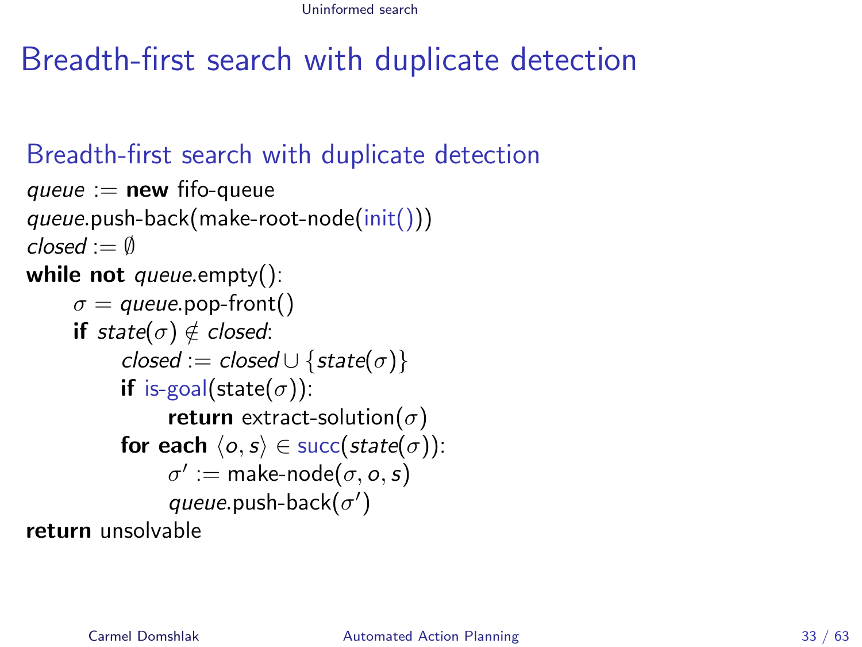# Breadth-first search with duplicate detection

### Breadth-first search with duplicate detection

```
queue := new fifo-queue
queue.push-back(make-root-node(init()))
closed := \emptysetwhile not queue.empty():
     \sigma = queue.pop-front()
     if state(\sigma) \notin closed:
           closed := closed \cup \{state(\sigma)\}\if is-goal(state(\sigma)):
                 return extract-solution(\sigma)
           for each \langle o, s \rangle \in succ(state(\sigma)):
                  \sigma':= make-node(\sigma, o, s)queue.push-back(\sigma')return unsolvable
```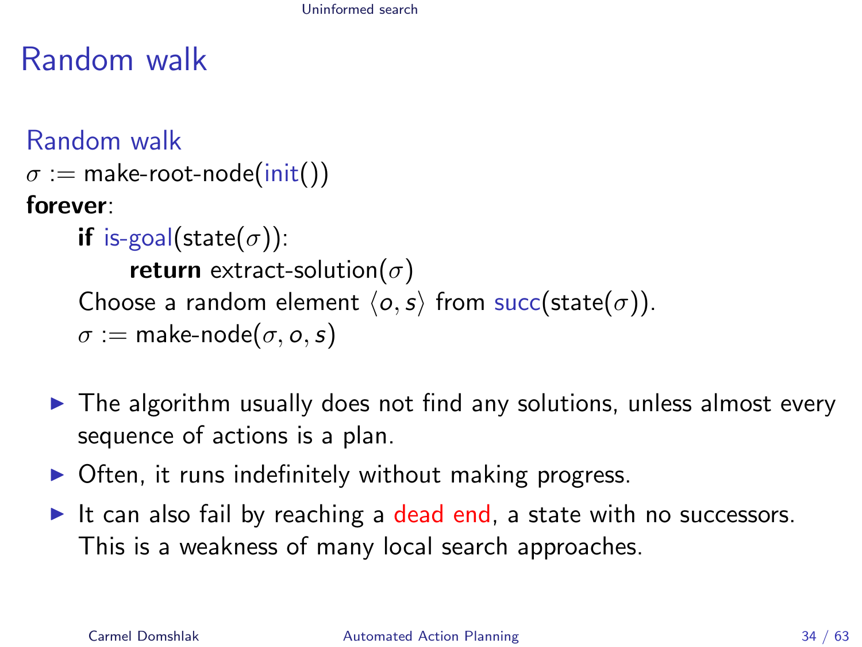# Random walk

```
Random walk
\sigma := make-root-node(init())
forever:
      if is-goal(state(\sigma)):
            return extract-solution(\sigma)Choose a random element \langle o, s \rangle from succ(state(\sigma)).
      \sigma := make-node(\sigma, \sigma, s)
```
- $\triangleright$  The algorithm usually does not find any solutions, unless almost every sequence of actions is a plan.
- $\triangleright$  Often, it runs indefinitely without making progress.
- It can also fail by reaching a dead end, a state with no successors. This is a weakness of many local search approaches.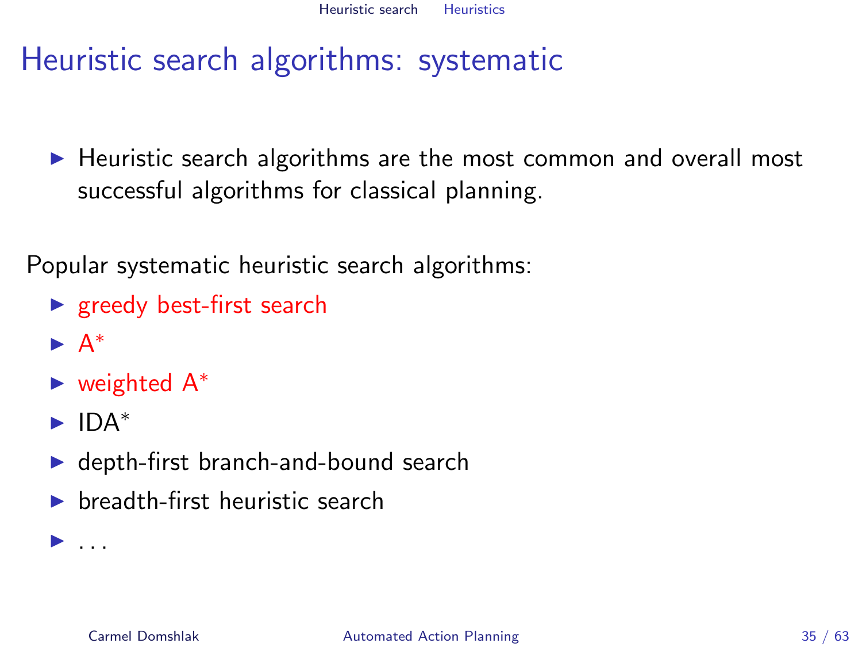# Heuristic search algorithms: systematic

 $\blacktriangleright$  Heuristic search algorithms are the most common and overall most successful algorithms for classical planning.

Popular systematic heuristic search algorithms:

- $\blacktriangleright$  greedy best-first search
- $\blacktriangleright$  A<sup>\*</sup>
- $\blacktriangleright$  weighted  $A^*$
- $\blacktriangleright$  IDA<sup>\*</sup>

<span id="page-34-0"></span> $\blacktriangleright$  ...

- $\blacktriangleright$  depth-first branch-and-bound search
- $\blacktriangleright$  breadth-first heuristic search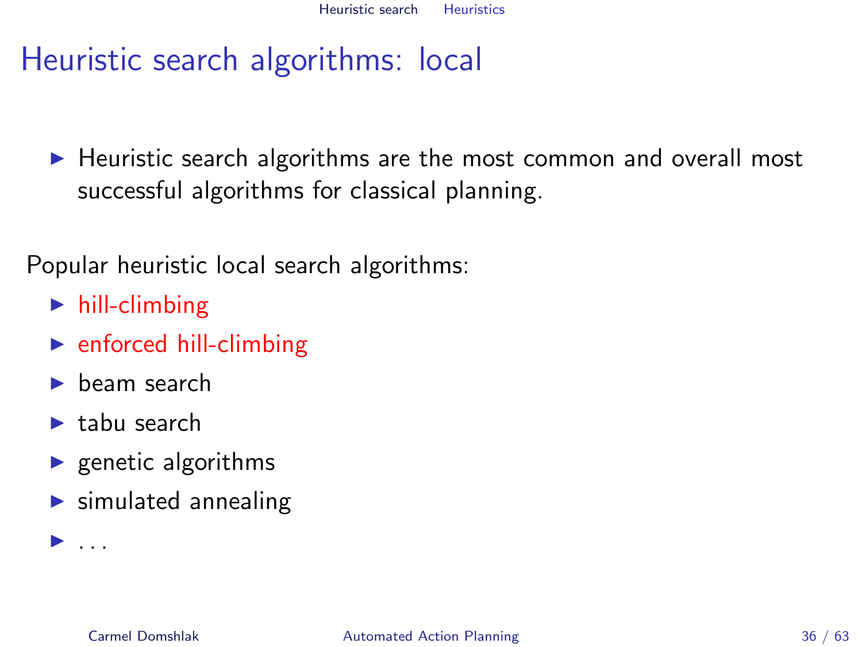# Heuristic search algorithms: local

 $\blacktriangleright$  Heuristic search algorithms are the most common and overall most successful algorithms for classical planning.

Popular heuristic local search algorithms:

- $\blacktriangleright$  hill-climbing
- $\blacktriangleright$  enforced hill-climbing
- $\blacktriangleright$  beam search
- $\blacktriangleright$  tabu search

 $\blacktriangleright$  ...

- $\blacktriangleright$  genetic algorithms
- $\blacktriangleright$  simulated annealing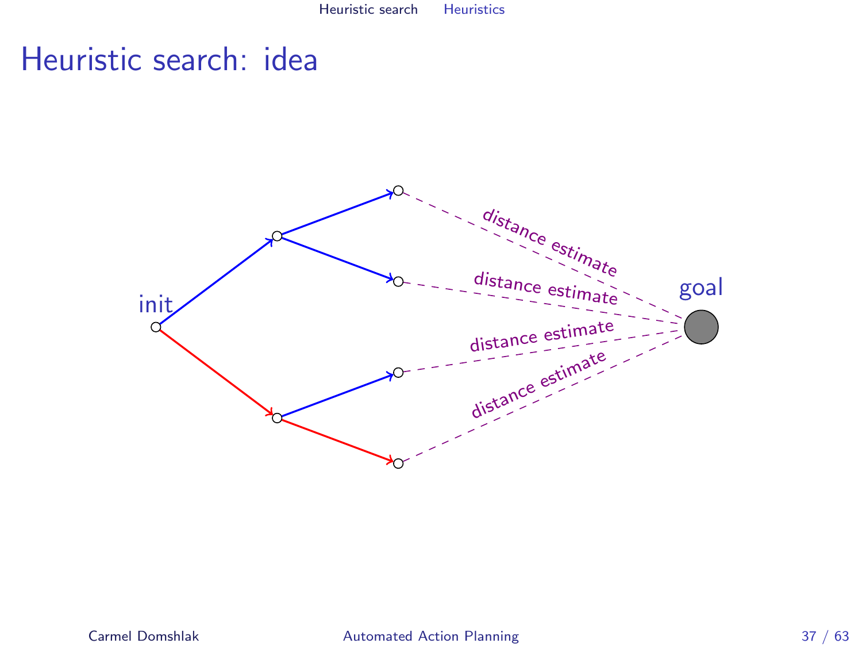# Heuristic search: idea

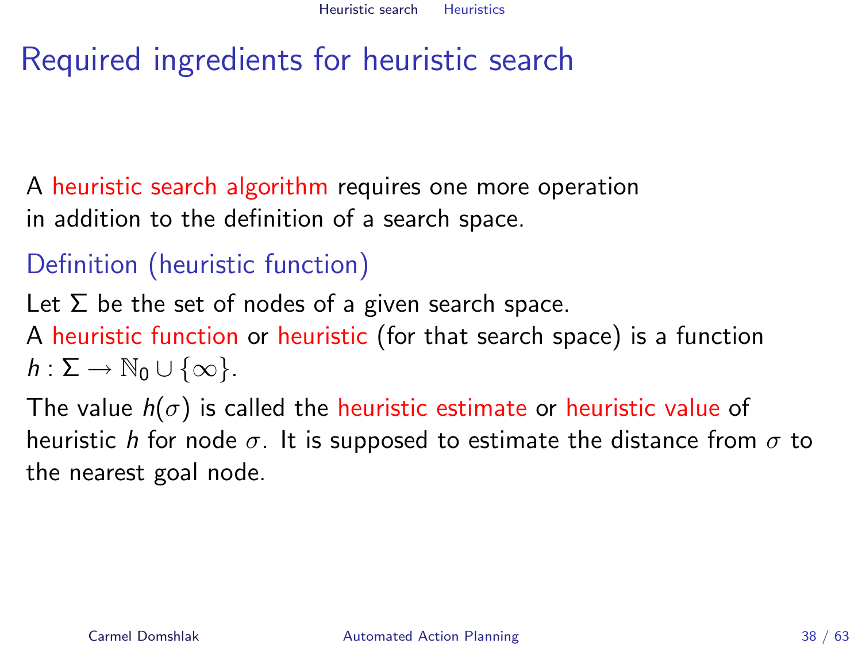# Required ingredients for heuristic search

A heuristic search algorithm requires one more operation in addition to the definition of a search space.

## Definition (heuristic function)

Let  $\Sigma$  be the set of nodes of a given search space. A heuristic function or heuristic (for that search space) is a function  $h: \Sigma \to \mathbb{N}_0 \cup \{\infty\}.$ 

The value  $h(\sigma)$  is called the heuristic estimate or heuristic value of heuristic h for node  $\sigma$ . It is supposed to estimate the distance from  $\sigma$  to the nearest goal node.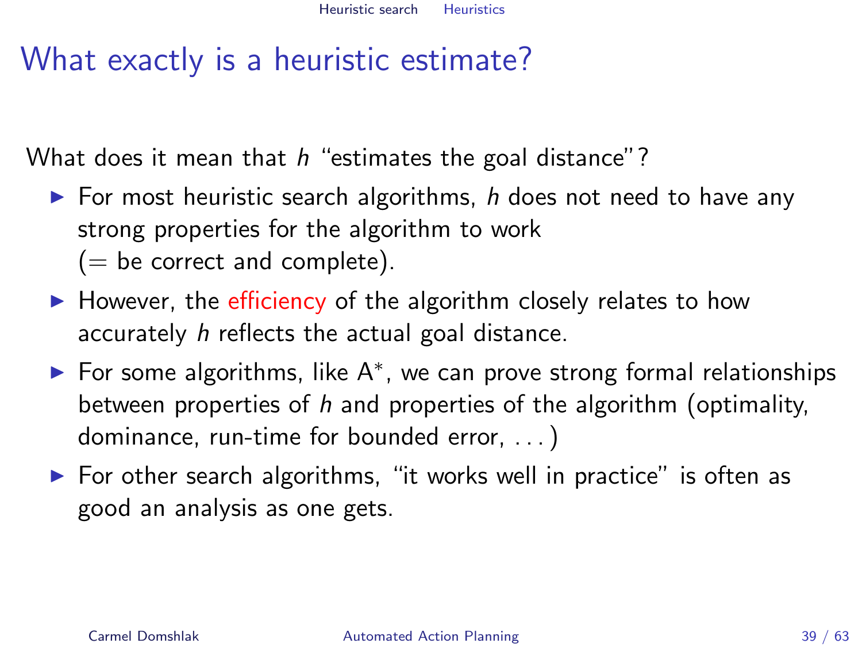# What exactly is a heuristic estimate?

What does it mean that  $h$  "estimates the goal distance"?

- $\triangleright$  For most heuristic search algorithms, h does not need to have any strong properties for the algorithm to work  $(=$  be correct and complete).
- $\blacktriangleright$  However, the efficiency of the algorithm closely relates to how accurately h reflects the actual goal distance.
- ► For some algorithms, like A<sup>\*</sup>, we can prove strong formal relationships between properties of h and properties of the algorithm (optimality, dominance, run-time for bounded error, . . . )
- $\triangleright$  For other search algorithms, "it works well in practice" is often as good an analysis as one gets.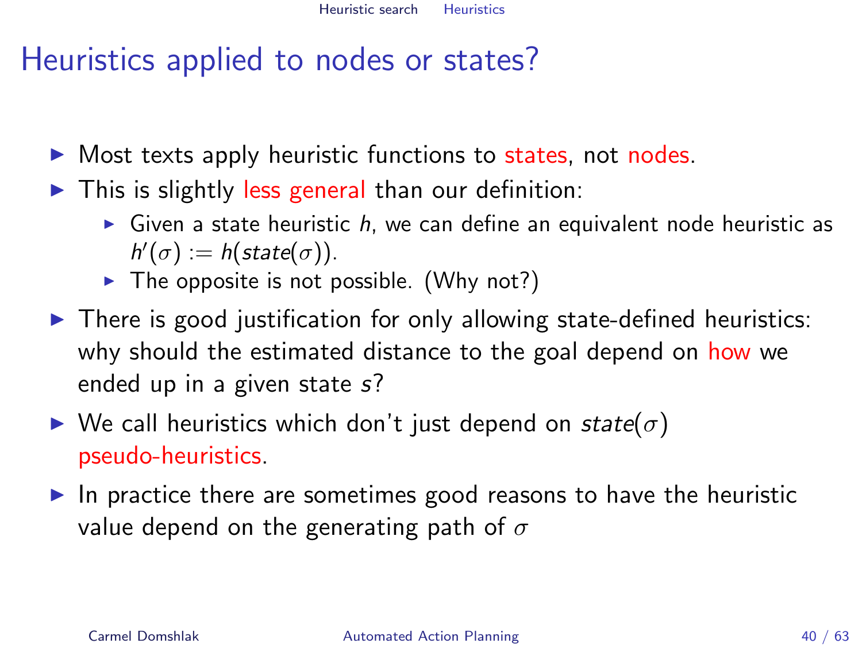# Heuristics applied to nodes or states?

- $\triangleright$  Most texts apply heuristic functions to states, not nodes.
- $\triangleright$  This is slightly less general than our definition:
	- $\triangleright$  Given a state heuristic h, we can define an equivalent node heuristic as  $h'(\sigma) := h(\text{state}(\sigma)).$
	- $\blacktriangleright$  The opposite is not possible. (Why not?)
- $\triangleright$  There is good justification for only allowing state-defined heuristics: why should the estimated distance to the goal depend on how we ended up in a given state s?
- $\triangleright$  We call heuristics which don't just depend on state( $\sigma$ ) pseudo-heuristics.
- $\blacktriangleright$  In practice there are sometimes good reasons to have the heuristic value depend on the generating path of  $\sigma$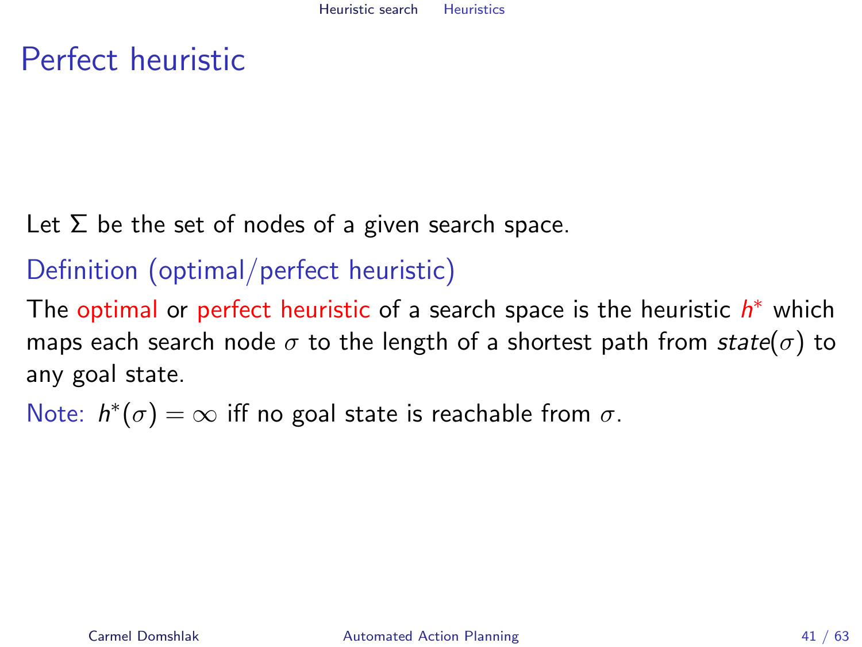# Perfect heuristic

Let  $\Sigma$  be the set of nodes of a given search space.

## Definition (optimal/perfect heuristic)

The optimal or perfect heuristic of a search space is the heuristic  $h^*$  which maps each search node  $\sigma$  to the length of a shortest path from state( $\sigma$ ) to any goal state.

Note:  $h^*(\sigma) = \infty$  iff no goal state is reachable from  $\sigma$ .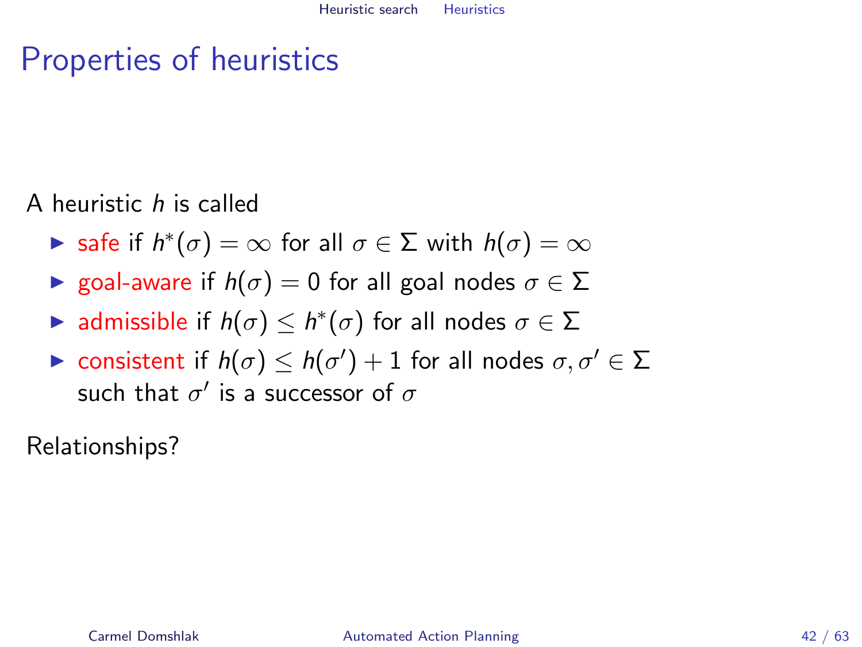# Properties of heuristics

A heuristic h is called

- ► safe if  $h^*(\sigma) = \infty$  for all  $\sigma \in \Sigma$  with  $h(\sigma) = \infty$
- **If** goal-aware if  $h(\sigma) = 0$  for all goal nodes  $\sigma \in \Sigma$
- ► admissible if  $h(\sigma) \leq h^*(\sigma)$  for all nodes  $\sigma \in \Sigma$
- $\blacktriangleright$  consistent if  $h(\sigma) \leq h(\sigma')+1$  for all nodes  $\sigma,\sigma' \in \Sigma$ such that  $\sigma'$  is a successor of  $\sigma$

Relationships?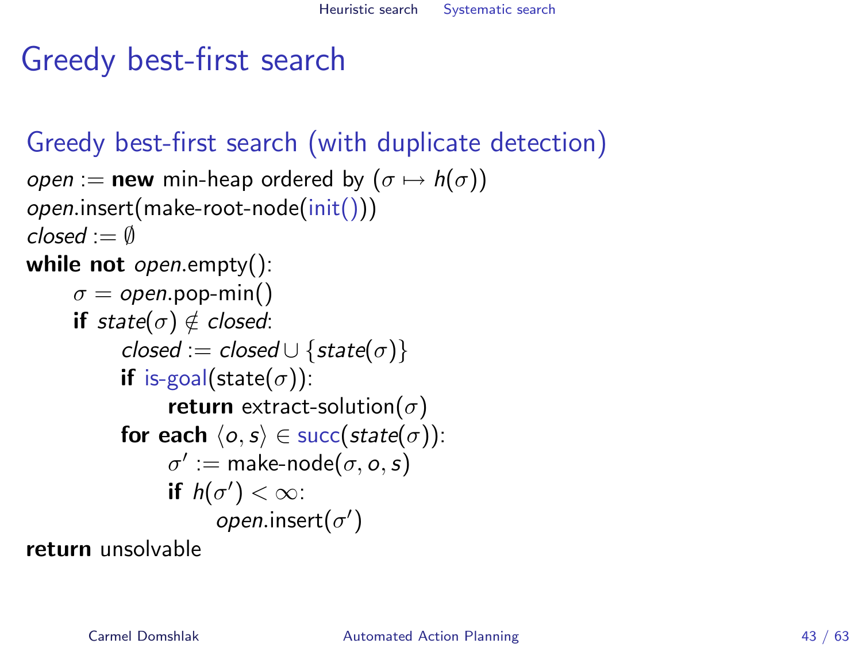# Greedy best-first search

### Greedy best-first search (with duplicate detection)

```
open := new min-heap ordered by (\sigma \mapsto h(\sigma))open.insert(make-root-node(init()))
closed := \emptysetwhile not open.empty():
      \sigma = open.pop-min()
      if state(\sigma) \notin closed:
            closed := closed ∪ {state(\sigma)}
            if is-goal(state(\sigma)):
                  return extract-solution(\sigma)
            for each \langle o, s \rangle \in succ(state(\sigma)):
                   \sigma' := \textsf{make-node}(\sigma, o, s)if h(\sigma') < \infty:
                         open.insert(\sigma')return unsolvable
```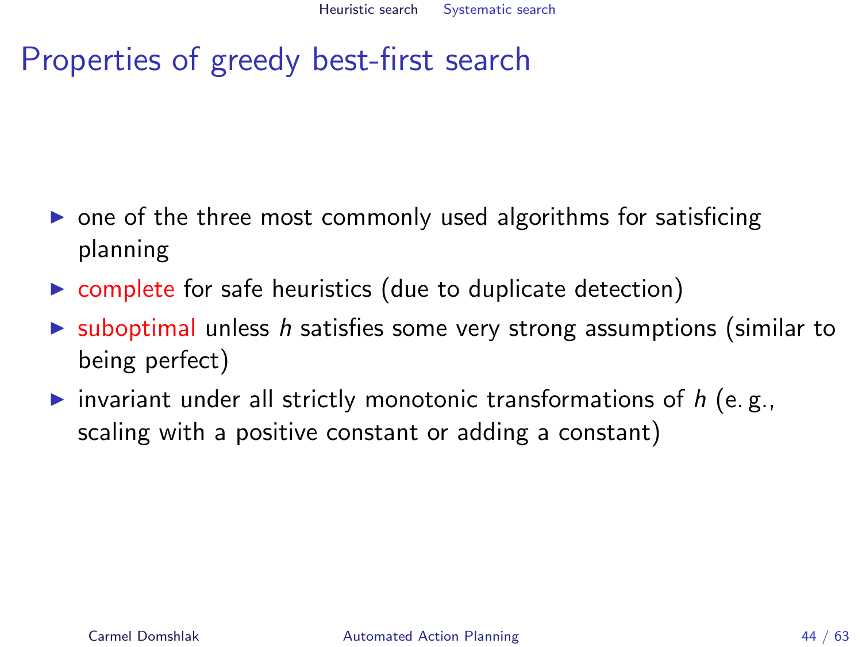# Properties of greedy best-first search

- $\triangleright$  one of the three most commonly used algorithms for satisficing planning
- $\triangleright$  complete for safe heuristics (due to duplicate detection)
- $\triangleright$  suboptimal unless h satisfies some very strong assumptions (similar to being perfect)
- invariant under all strictly monotonic transformations of  $h$  (e.g., scaling with a positive constant or adding a constant)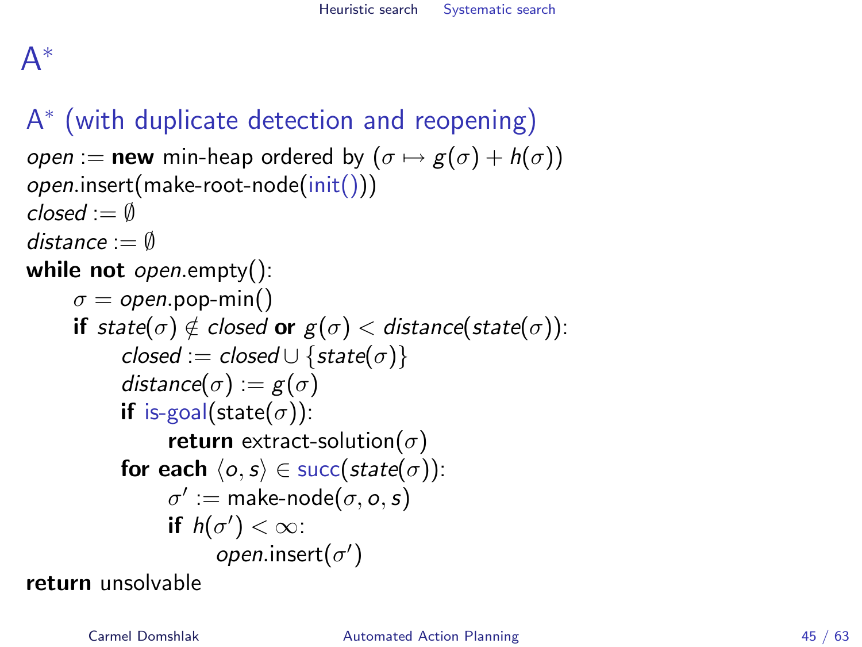# A ∗

# A ∗ (with duplicate detection and reopening)

```
open := new min-heap ordered by (\sigma \mapsto g(\sigma) + h(\sigma))open.insert(make-root-node(init()))
closed := \emptysetdistance := \emptysetwhile not open.empty():
      \sigma = open.pop-min()
      if state(\sigma) \notin closed or g(\sigma) < distance(state(\sigma)):
            closed := closed \cup \{state(\sigma)\}\distance(\sigma) := g(\sigma)if is-goal(state(\sigma)):
                   return extract-solution(\sigma)
            for each \langle o, s \rangle \in succ(state(\sigma)):
                   \sigma' := \text{make-node}(\sigma, o, s)if h(\sigma') < \infty:
                          open.insert(\sigma')
```
return unsolvable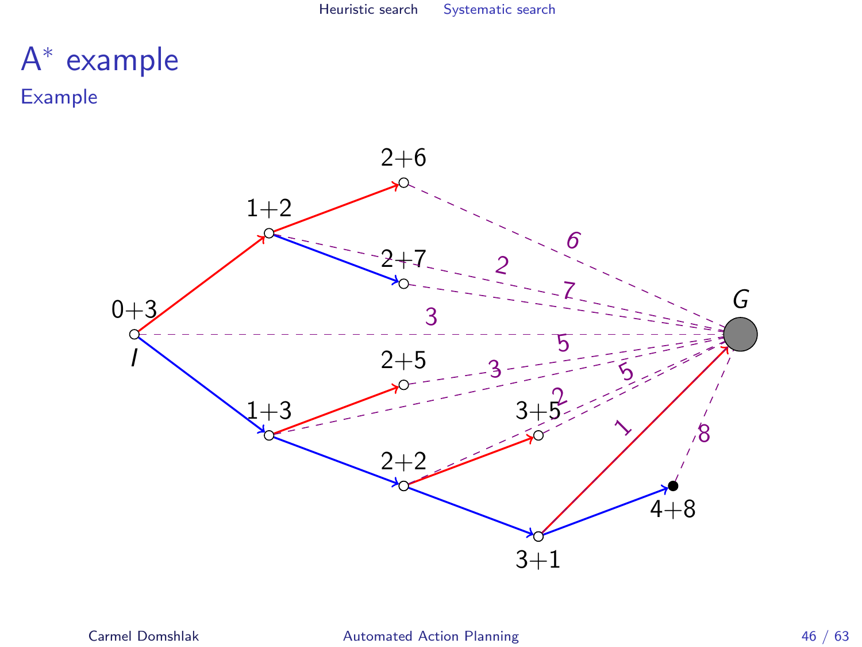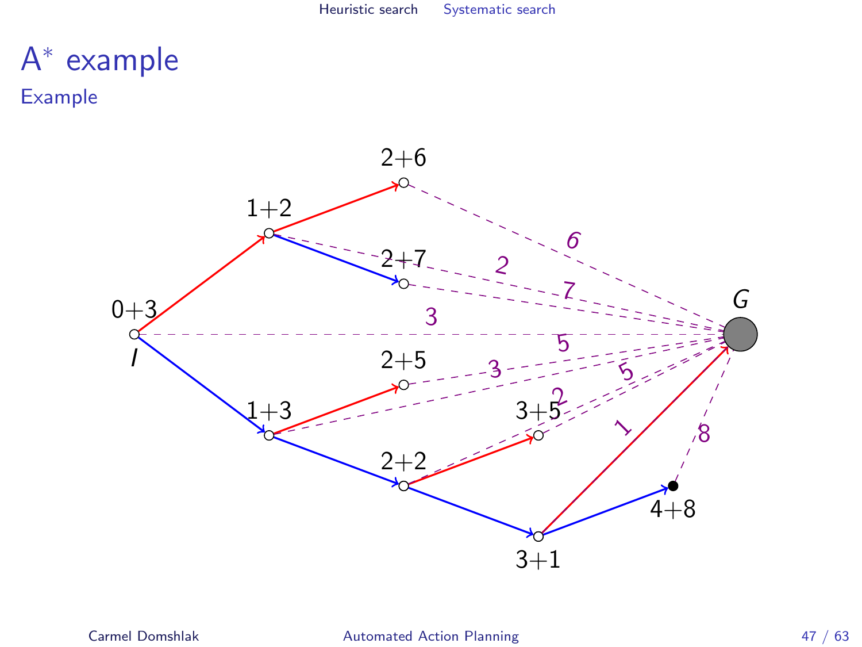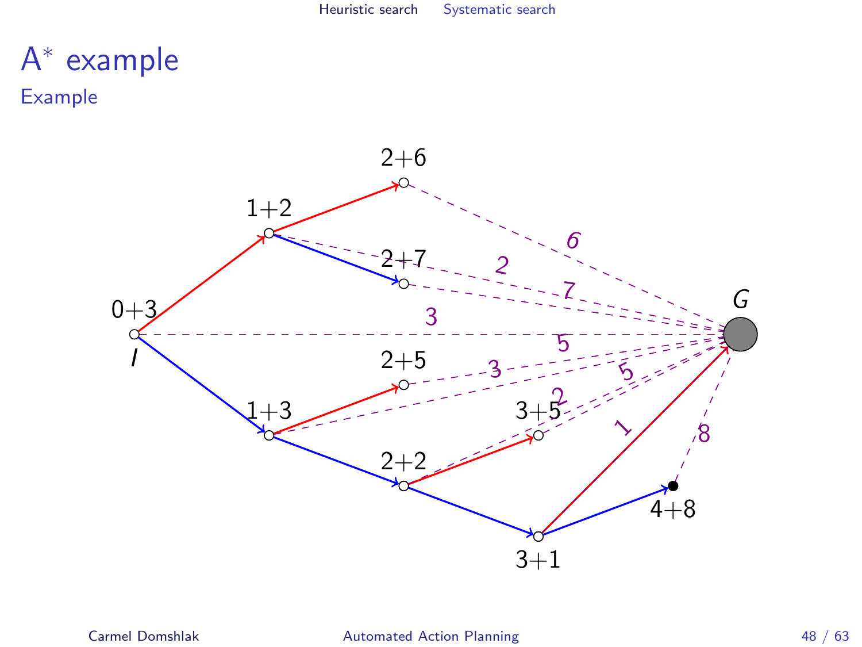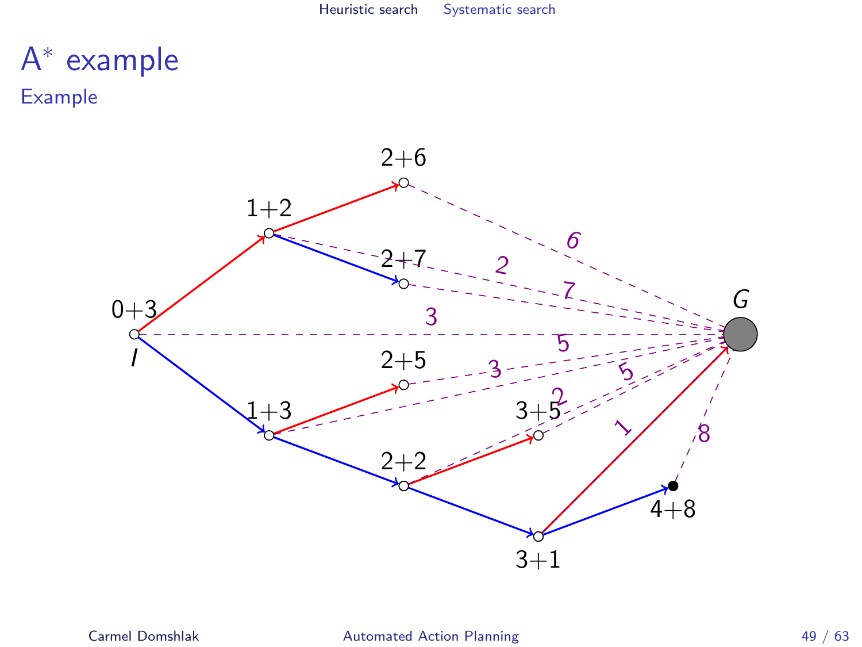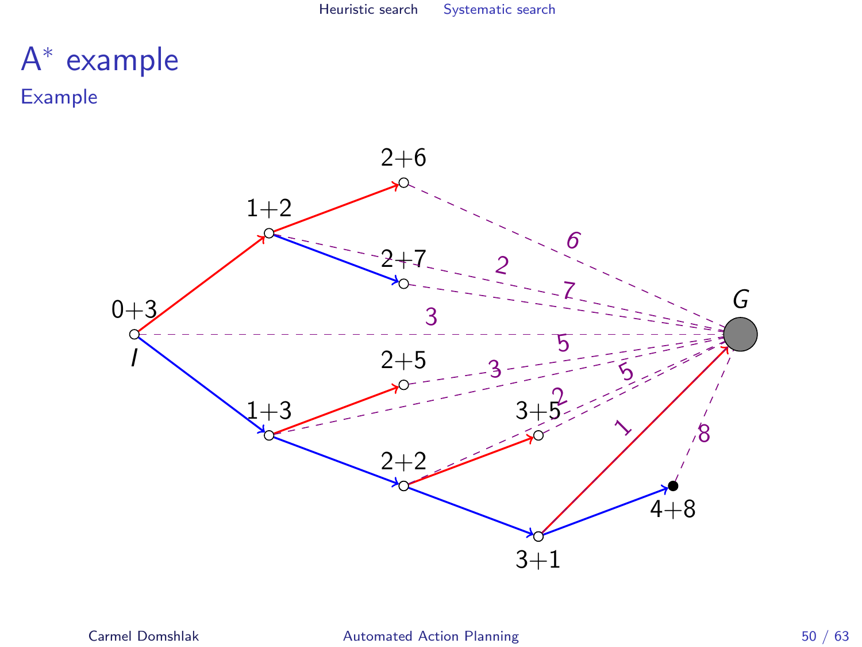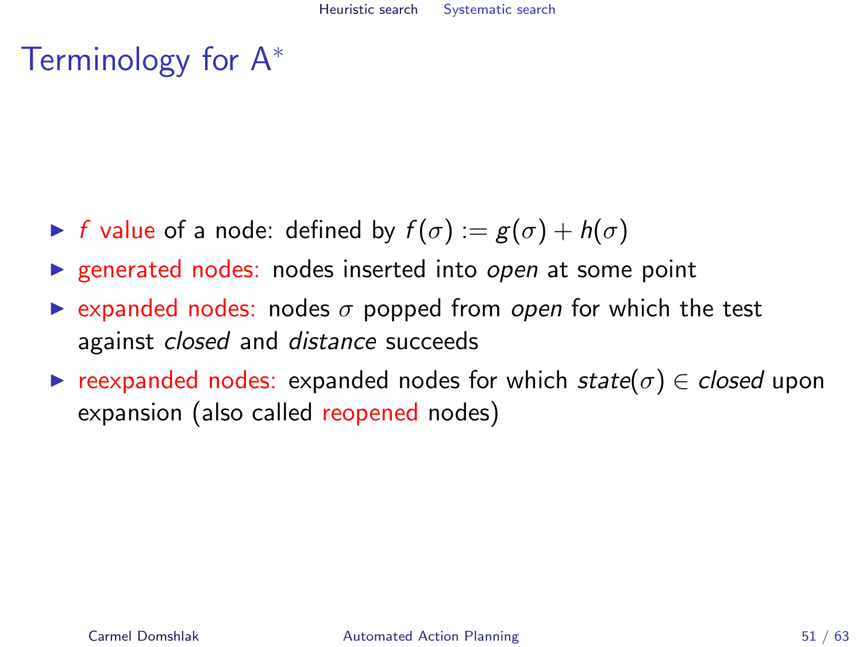# Terminology for A<sup>∗</sup>

- If f value of a node: defined by  $f(\sigma) := g(\sigma) + h(\sigma)$
- $\triangleright$  generated nodes: nodes inserted into open at some point
- Expanded nodes: nodes  $\sigma$  popped from open for which the test against *closed* and *distance* succeeds
- reexpanded nodes: expanded nodes for which state( $\sigma$ )  $\in$  closed upon expansion (also called reopened nodes)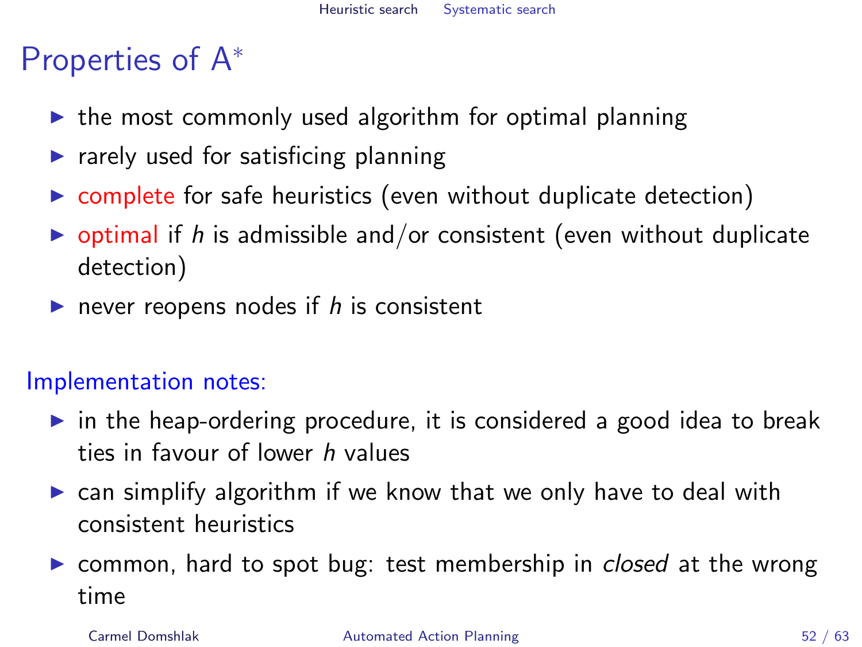# Properties of A<sup>∗</sup>

- $\triangleright$  the most commonly used algorithm for optimal planning
- $\blacktriangleright$  rarely used for satisficing planning
- $\triangleright$  complete for safe heuristics (even without duplicate detection)
- $\triangleright$  optimal if h is admissible and/or consistent (even without duplicate detection)
- rever reopens nodes if  $h$  is consistent

### Implementation notes:

- $\triangleright$  in the heap-ordering procedure, it is considered a good idea to break ties in favour of lower h values
- $\triangleright$  can simplify algorithm if we know that we only have to deal with consistent heuristics
- $\triangleright$  common, hard to spot bug: test membership in *closed* at the wrong time

### Carmel Domshlak [Automated Action Planning](#page-0-0) 52 / 63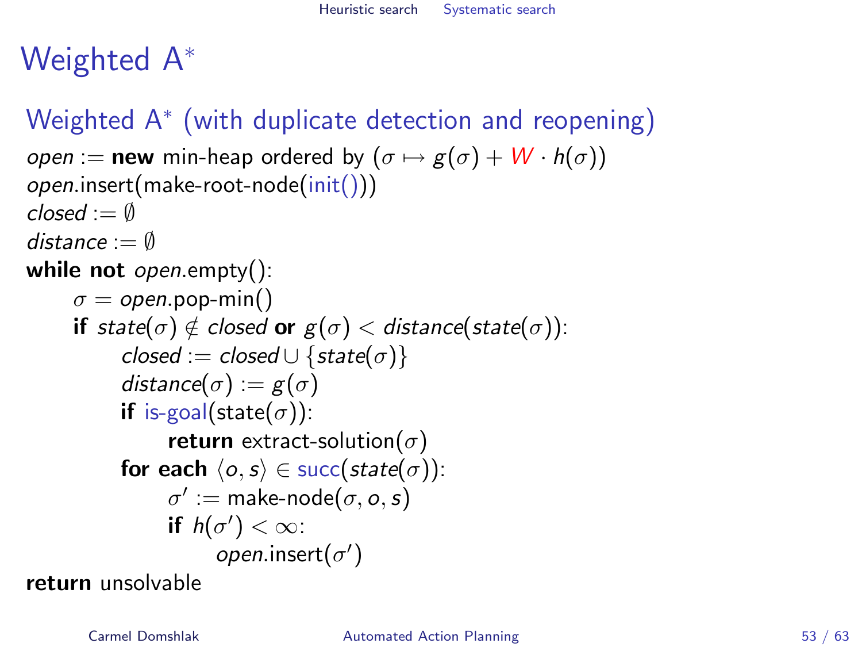# Weighted A<sup>∗</sup>

# Weighted A<sup>∗</sup> (with duplicate detection and reopening)

```
open := new min-heap ordered by (\sigma \mapsto g(\sigma) + W \cdot h(\sigma))open.insert(make-root-node(init()))
closed := \emptysetdistance := \emptysetwhile not open.empty():
      \sigma = open.pop-min()
      if state(\sigma) \notin closed or g(\sigma) < distance(state(\sigma)):
            closed := closed \cup \{state(\sigma)\}\distance(\sigma) := g(\sigma)if is-goal(state(\sigma)):
                   return extract-solution(\sigma)
            for each \langle o, s \rangle \in succ(state(\sigma)):
                   \sigma' := \text{make-node}(\sigma, o, s)if h(\sigma') < \infty:
                          open.insert(\sigma')
```
return unsolvable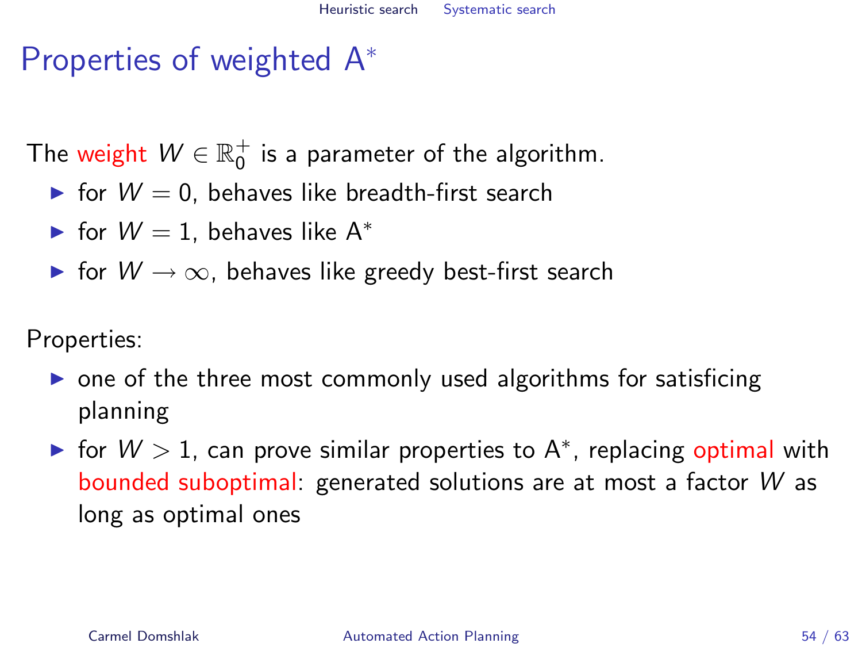# Properties of weighted A<sup>∗</sup>

The weight  $W \in \mathbb{R}^+_0$  is a parameter of the algorithm.

- $\triangleright$  for  $W = 0$ , behaves like breadth-first search
- $\triangleright$  for  $W = 1$ , behaves like A<sup>\*</sup>
- $\triangleright$  for  $W \to \infty$ , behaves like greedy best-first search

Properties:

- $\triangleright$  one of the three most commonly used algorithms for satisficing planning
- ► for  $W > 1$ , can prove similar properties to A\*, replacing optimal with bounded suboptimal: generated solutions are at most a factor W as long as optimal ones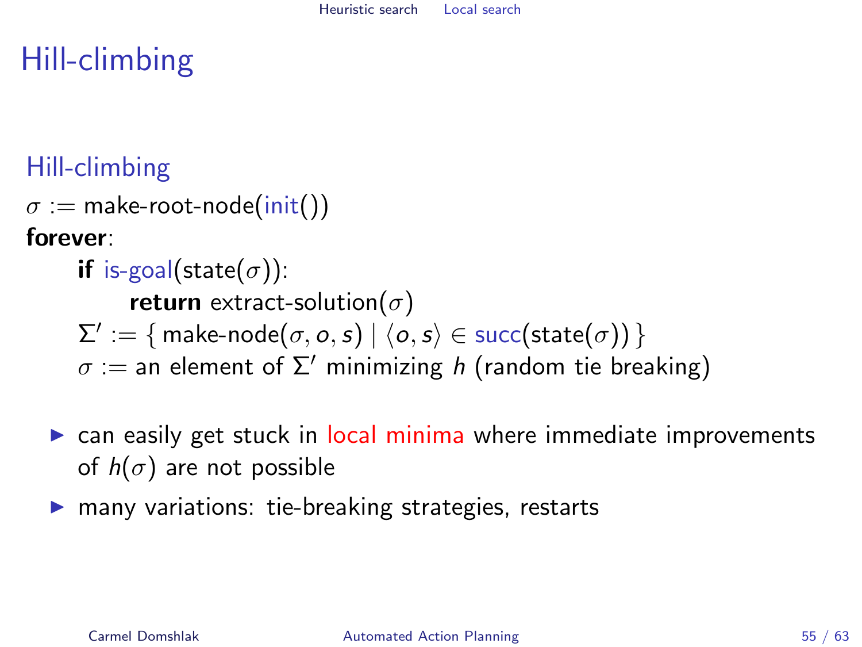# Hill-climbing

# Hill-climbing

```
\sigma := make-root-node(init())
```
forever:

- if is-goal(state( $\sigma$ )): return extract-solution $(\sigma)$  $\Sigma':=\{$  make-node $(\sigma,o,s)\mid \langle o,s\rangle \in \mathsf{succ}(\mathsf{state}(\sigma))\,\}$  $\sigma :=$  an element of  $\Sigma'$  minimizing h (random tie breaking)
- $\triangleright$  can easily get stuck in local minima where immediate improvements of  $h(\sigma)$  are not possible
- <span id="page-54-0"></span> $\triangleright$  many variations: tie-breaking strategies, restarts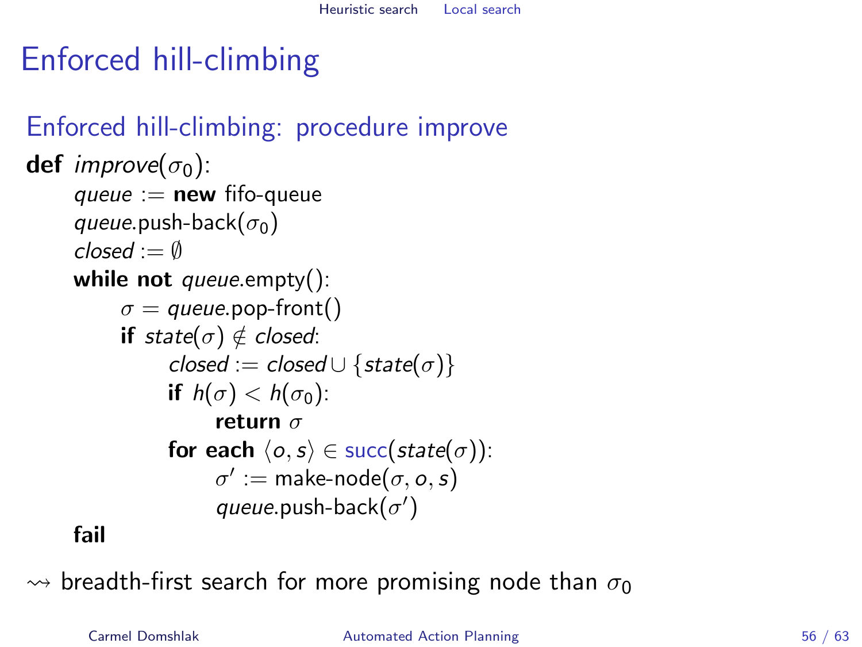# Enforced hill-climbing

### Enforced hill-climbing: procedure improve **def** improve $(\sigma_0)$ : queue  $:=$  new fifo-queue queue.push-back( $\sigma_0$ )  $closed := \emptyset$ while not queue.empty():  $\sigma =$  queue.pop-front() if state( $\sigma$ )  $\notin$  closed: closed := closed ∪ {state( $\sigma$ )} if  $h(\sigma) < h(\sigma_0)$ : return  $\sigma$ for each  $\langle o, s \rangle \in succ(state(\sigma))$ :  $\sigma':=$  make-node $(\sigma, o, s)$ queue.push-back $(\sigma')$

### fail

 $\rightarrow$  breadth-first search for more promising node than  $\sigma_0$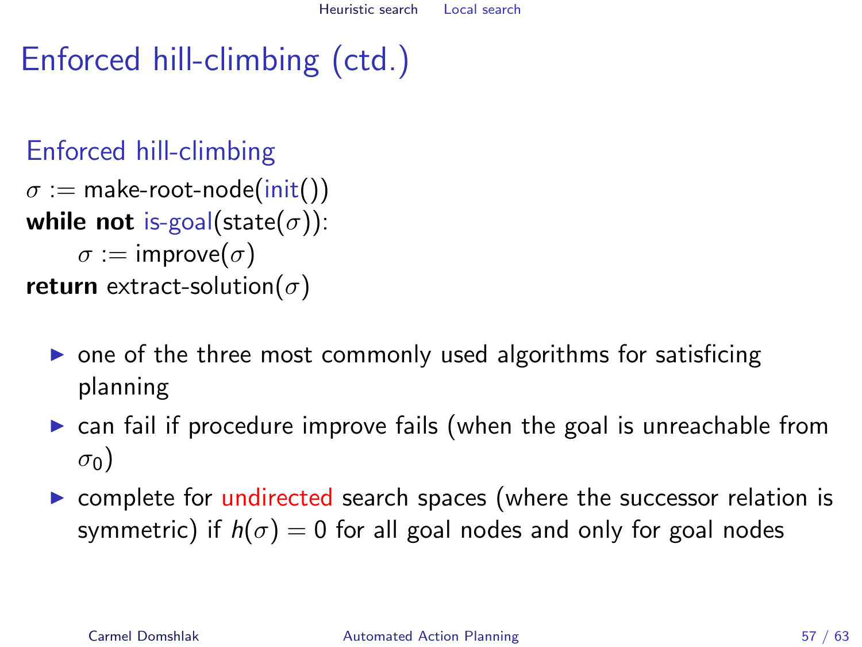# Enforced hill-climbing (ctd.)

## Enforced hill-climbing

 $\sigma :=$  make-root-node(init()) while not is-goal(state( $\sigma$ )):  $\sigma := \text{improve}(\sigma)$ return extract-solution( $\sigma$ )

- $\triangleright$  one of the three most commonly used algorithms for satisficing planning
- $\triangleright$  can fail if procedure improve fails (when the goal is unreachable from  $\sigma_0$ )
- $\triangleright$  complete for undirected search spaces (where the successor relation is symmetric) if  $h(\sigma) = 0$  for all goal nodes and only for goal nodes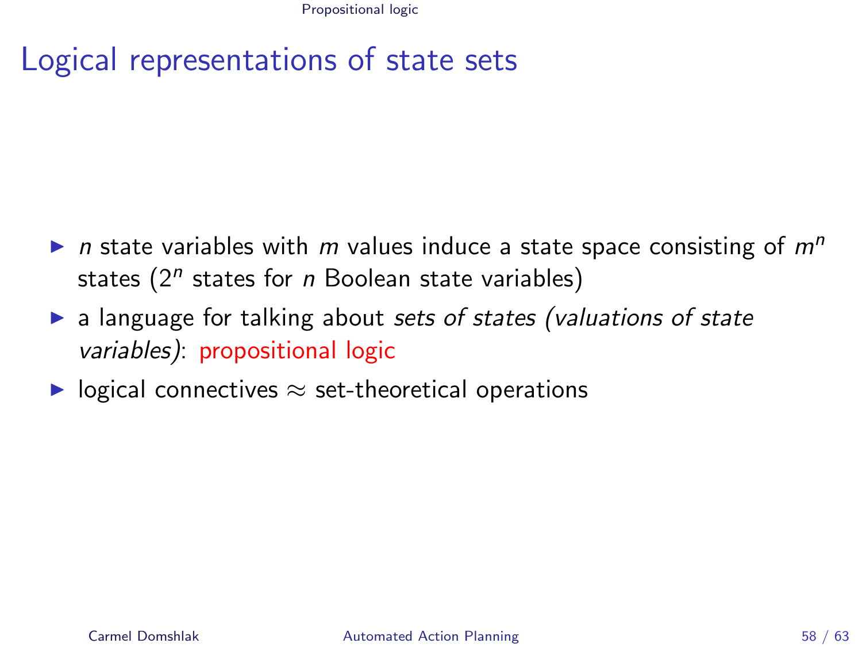Propositional logic

# Logical representations of state sets

- In state variables with m values induce a state space consisting of  $m<sup>n</sup>$ states  $(2^n$  states for n Boolean state variables)
- $\triangleright$  a language for talking about sets of states (valuations of state variables): propositional logic
- <span id="page-57-0"></span> $\triangleright$  logical connectives  $\approx$  set-theoretical operations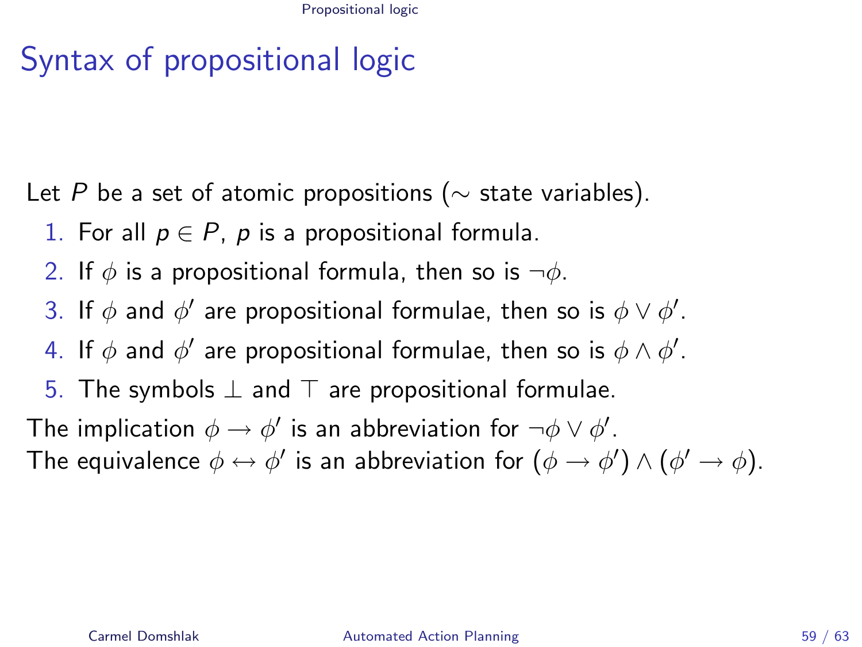# Syntax of propositional logic

Let P be a set of atomic propositions ( $\sim$  state variables).

- 1. For all  $p \in P$ , p is a propositional formula.
- 2. If  $\phi$  is a propositional formula, then so is  $\neg \phi$ .
- 3. If  $\phi$  and  $\phi'$  are propositional formulae, then so is  $\phi \vee \phi'$ .
- 4. If  $\phi$  and  $\phi'$  are propositional formulae, then so is  $\phi \wedge \phi'.$
- 5. The symbols  $\perp$  and  $\top$  are propositional formulae.

The implication  $\phi \to \phi'$  is an abbreviation for  $\neg \phi \lor \phi'.$ The equivalence  $\phi \leftrightarrow \phi'$  is an abbreviation for  $(\phi \rightarrow \phi') \land (\phi' \rightarrow \phi)$ .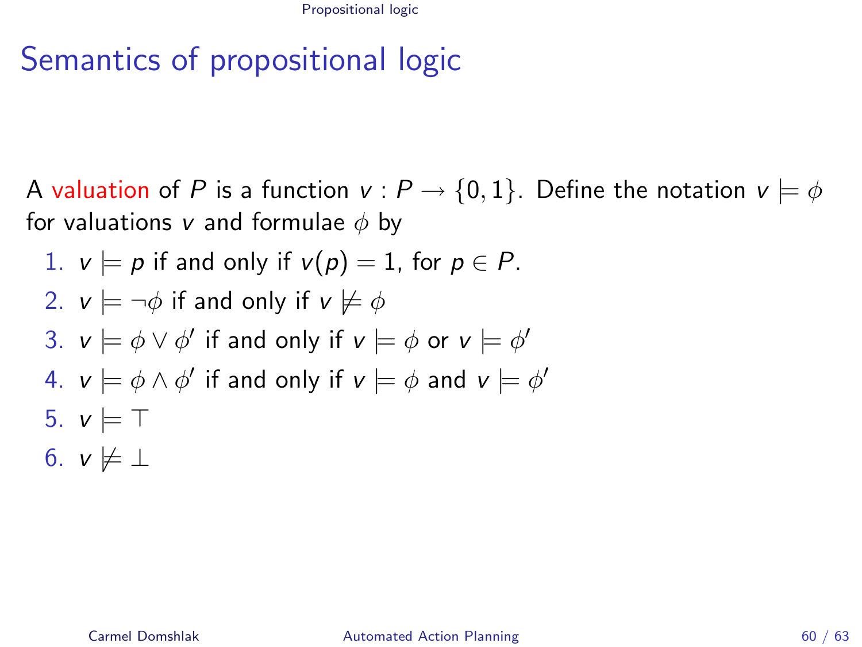Propositional logic

# Semantics of propositional logic

A valuation of P is a function  $v : P \to \{0,1\}$ . Define the notation  $v \models \phi$ for valuations v and formulae  $\phi$  by

1. 
$$
v \models p
$$
 if and only if  $v(p) = 1$ , for  $p \in P$ .

2. 
$$
v \models \neg \phi
$$
 if and only if  $v \not\models \phi$ 

3. 
$$
v \models \phi \lor \phi'
$$
 if and only if  $v \models \phi$  or  $v \models \phi'$ 

4. 
$$
v \models \phi \land \phi'
$$
 if and only if  $v \models \phi$  and  $v \models \phi'$ 

5. 
$$
v \models T
$$

6. 
$$
v \not\models \bot
$$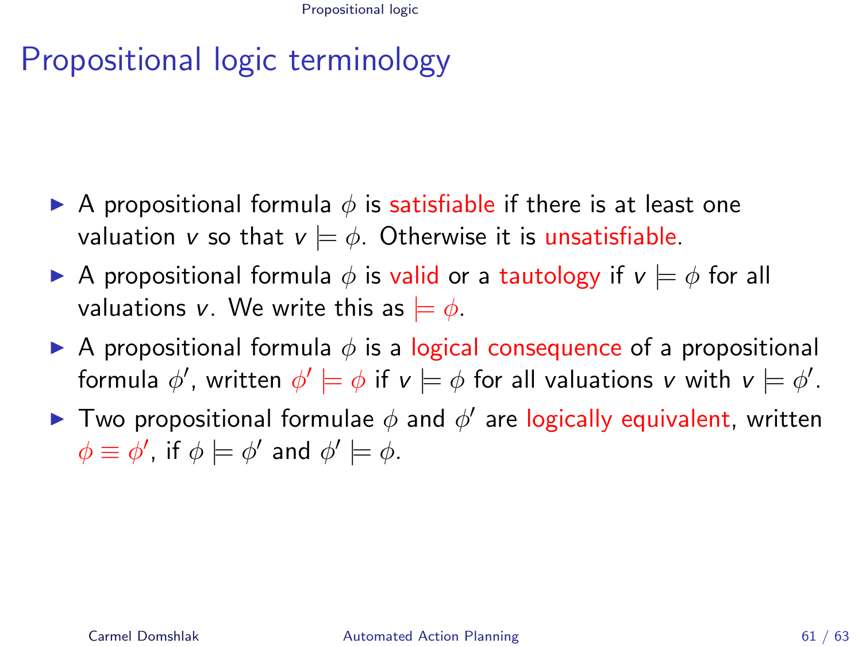# Propositional logic terminology

- A propositional formula  $\phi$  is satisfiable if there is at least one valuation v so that  $v \models \phi$ . Otherwise it is unsatisfiable.
- A propositional formula  $\phi$  is valid or a tautology if  $v \models \phi$  for all valuations v. We write this as  $= \phi$ .
- A propositional formula  $\phi$  is a logical consequence of a propositional formula  $\phi'$ , written  $\phi' \models \phi$  if  $\mathsf{v} \models \phi$  for all valuations  $\mathsf{v}$  with  $\mathsf{v} \models \phi'.$
- Two propositional formulae  $\phi$  and  $\phi'$  are logically equivalent, written  $\phi \equiv \phi'$ , if  $\phi \models \phi'$  and  $\phi' \models \phi$ .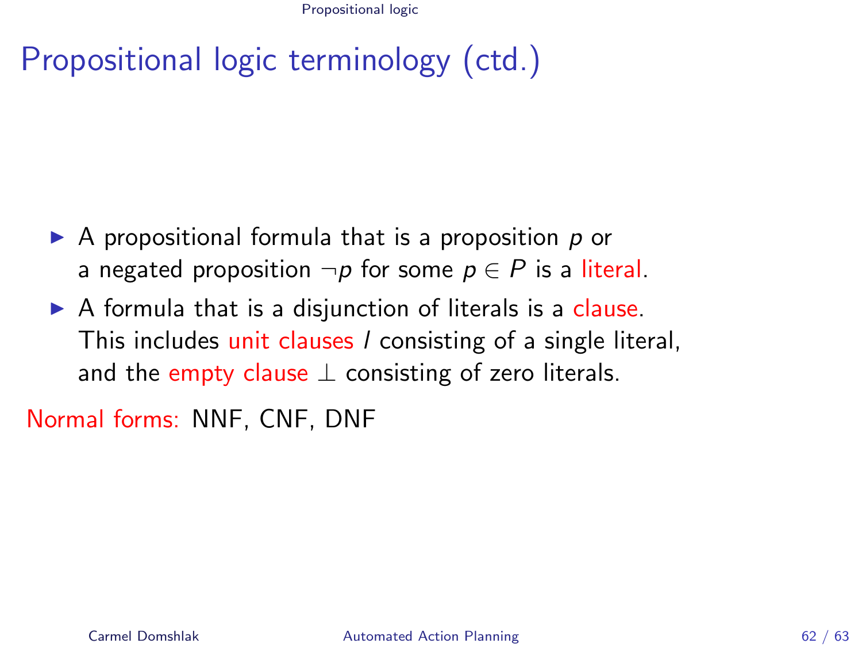Propositional logic

# Propositional logic terminology (ctd.)

- $\triangleright$  A propositional formula that is a proposition p or a negated proposition  $\neg p$  for some  $p \in P$  is a literal.
- $\triangleright$  A formula that is a disjunction of literals is a clause. This includes unit clauses *l* consisting of a single literal, and the empty clause  $\perp$  consisting of zero literals.

Normal forms: NNF, CNF, DNF